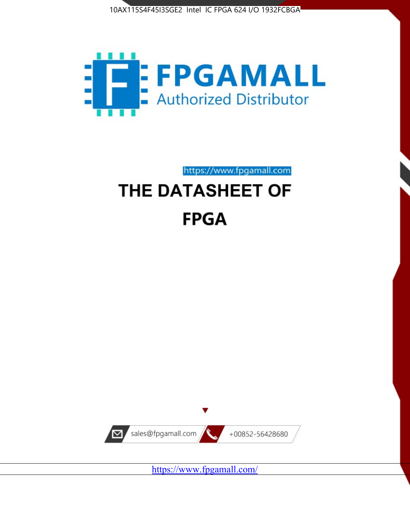



https://www.fpgamall.com

# THE DATASHEET OF **FPGA**



<https://www.fpgamall.com/>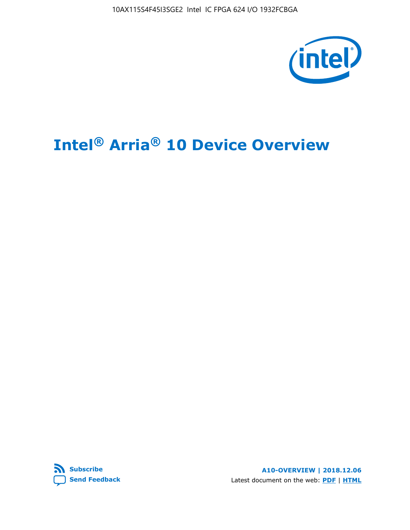10AX115S4F45I3SGE2 Intel IC FPGA 624 I/O 1932FCBGA



# **Intel® Arria® 10 Device Overview**



**A10-OVERVIEW | 2018.12.06** Latest document on the web: **[PDF](https://www.intel.com/content/dam/www/programmable/us/en/pdfs/literature/hb/arria-10/a10_overview.pdf)** | **[HTML](https://www.intel.com/content/www/us/en/programmable/documentation/sam1403480274650.html)**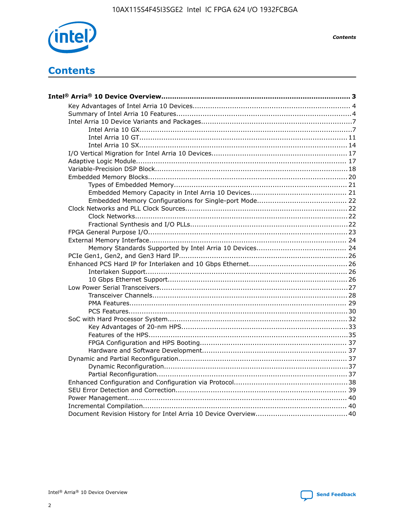

**Contents** 

# **Contents**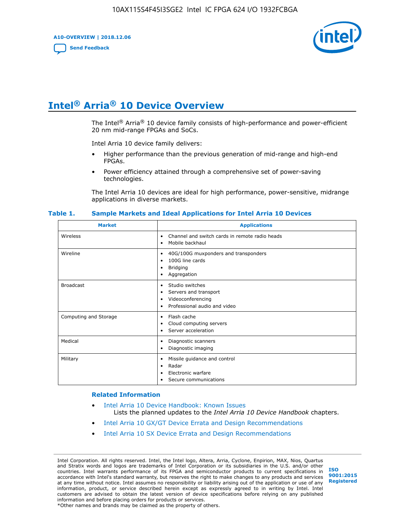**A10-OVERVIEW | 2018.12.06**

**[Send Feedback](mailto:FPGAtechdocfeedback@intel.com?subject=Feedback%20on%20Intel%20Arria%2010%20Device%20Overview%20(A10-OVERVIEW%202018.12.06)&body=We%20appreciate%20your%20feedback.%20In%20your%20comments,%20also%20specify%20the%20page%20number%20or%20paragraph.%20Thank%20you.)**



# **Intel® Arria® 10 Device Overview**

The Intel<sup>®</sup> Arria<sup>®</sup> 10 device family consists of high-performance and power-efficient 20 nm mid-range FPGAs and SoCs.

Intel Arria 10 device family delivers:

- Higher performance than the previous generation of mid-range and high-end FPGAs.
- Power efficiency attained through a comprehensive set of power-saving technologies.

The Intel Arria 10 devices are ideal for high performance, power-sensitive, midrange applications in diverse markets.

| <b>Market</b>         | <b>Applications</b>                                                                                               |
|-----------------------|-------------------------------------------------------------------------------------------------------------------|
| Wireless              | Channel and switch cards in remote radio heads<br>٠<br>Mobile backhaul<br>٠                                       |
| Wireline              | 40G/100G muxponders and transponders<br>٠<br>100G line cards<br>٠<br><b>Bridging</b><br>٠<br>Aggregation<br>٠     |
| <b>Broadcast</b>      | Studio switches<br>٠<br>Servers and transport<br>٠<br>Videoconferencing<br>٠<br>Professional audio and video<br>٠ |
| Computing and Storage | Flash cache<br>٠<br>Cloud computing servers<br>٠<br>Server acceleration<br>٠                                      |
| Medical               | Diagnostic scanners<br>٠<br>Diagnostic imaging<br>٠                                                               |
| Military              | Missile guidance and control<br>٠<br>Radar<br>٠<br>Electronic warfare<br>٠<br>Secure communications<br>٠          |

#### **Table 1. Sample Markets and Ideal Applications for Intel Arria 10 Devices**

#### **Related Information**

- [Intel Arria 10 Device Handbook: Known Issues](http://www.altera.com/support/kdb/solutions/rd07302013_646.html) Lists the planned updates to the *Intel Arria 10 Device Handbook* chapters.
- [Intel Arria 10 GX/GT Device Errata and Design Recommendations](https://www.intel.com/content/www/us/en/programmable/documentation/agz1493851706374.html#yqz1494433888646)
- [Intel Arria 10 SX Device Errata and Design Recommendations](https://www.intel.com/content/www/us/en/programmable/documentation/cru1462832385668.html#cru1462832558642)

Intel Corporation. All rights reserved. Intel, the Intel logo, Altera, Arria, Cyclone, Enpirion, MAX, Nios, Quartus and Stratix words and logos are trademarks of Intel Corporation or its subsidiaries in the U.S. and/or other countries. Intel warrants performance of its FPGA and semiconductor products to current specifications in accordance with Intel's standard warranty, but reserves the right to make changes to any products and services at any time without notice. Intel assumes no responsibility or liability arising out of the application or use of any information, product, or service described herein except as expressly agreed to in writing by Intel. Intel customers are advised to obtain the latest version of device specifications before relying on any published information and before placing orders for products or services. \*Other names and brands may be claimed as the property of others.

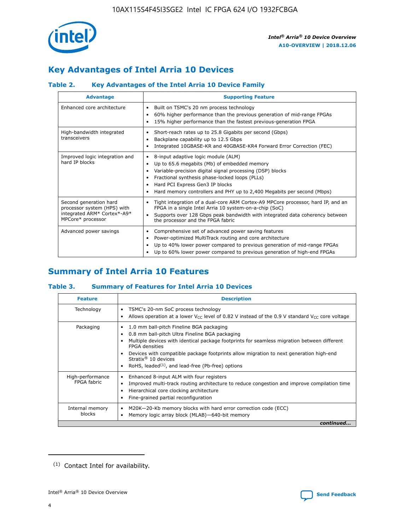

# **Key Advantages of Intel Arria 10 Devices**

## **Table 2. Key Advantages of the Intel Arria 10 Device Family**

| <b>Advantage</b>                                                                                          | <b>Supporting Feature</b>                                                                                                                                                                                                                                                                                                     |
|-----------------------------------------------------------------------------------------------------------|-------------------------------------------------------------------------------------------------------------------------------------------------------------------------------------------------------------------------------------------------------------------------------------------------------------------------------|
| Enhanced core architecture                                                                                | Built on TSMC's 20 nm process technology<br>٠<br>60% higher performance than the previous generation of mid-range FPGAs<br>٠<br>15% higher performance than the fastest previous-generation FPGA<br>٠                                                                                                                         |
| High-bandwidth integrated<br>transceivers                                                                 | Short-reach rates up to 25.8 Gigabits per second (Gbps)<br>٠<br>Backplane capability up to 12.5 Gbps<br>٠<br>Integrated 10GBASE-KR and 40GBASE-KR4 Forward Error Correction (FEC)<br>٠                                                                                                                                        |
| Improved logic integration and<br>hard IP blocks                                                          | 8-input adaptive logic module (ALM)<br>٠<br>Up to 65.6 megabits (Mb) of embedded memory<br>٠<br>Variable-precision digital signal processing (DSP) blocks<br>Fractional synthesis phase-locked loops (PLLs)<br>٠<br>Hard PCI Express Gen3 IP blocks<br>Hard memory controllers and PHY up to 2,400 Megabits per second (Mbps) |
| Second generation hard<br>processor system (HPS) with<br>integrated ARM* Cortex*-A9*<br>MPCore* processor | Tight integration of a dual-core ARM Cortex-A9 MPCore processor, hard IP, and an<br>٠<br>FPGA in a single Intel Arria 10 system-on-a-chip (SoC)<br>Supports over 128 Gbps peak bandwidth with integrated data coherency between<br>$\bullet$<br>the processor and the FPGA fabric                                             |
| Advanced power savings                                                                                    | Comprehensive set of advanced power saving features<br>٠<br>Power-optimized MultiTrack routing and core architecture<br>٠<br>Up to 40% lower power compared to previous generation of mid-range FPGAs<br>٠<br>Up to 60% lower power compared to previous generation of high-end FPGAs<br>٠                                    |

# **Summary of Intel Arria 10 Features**

## **Table 3. Summary of Features for Intel Arria 10 Devices**

| <b>Feature</b>                  | <b>Description</b>                                                                                                                                                                                                                                                                                                                                                                                       |
|---------------------------------|----------------------------------------------------------------------------------------------------------------------------------------------------------------------------------------------------------------------------------------------------------------------------------------------------------------------------------------------------------------------------------------------------------|
| Technology                      | TSMC's 20-nm SoC process technology<br>٠<br>Allows operation at a lower $V_{\text{CC}}$ level of 0.82 V instead of the 0.9 V standard $V_{\text{CC}}$ core voltage                                                                                                                                                                                                                                       |
| Packaging                       | 1.0 mm ball-pitch Fineline BGA packaging<br>0.8 mm ball-pitch Ultra Fineline BGA packaging<br>Multiple devices with identical package footprints for seamless migration between different<br><b>FPGA</b> densities<br>Devices with compatible package footprints allow migration to next generation high-end<br>Stratix $\mathcal{R}$ 10 devices<br>RoHS, leaded $(1)$ , and lead-free (Pb-free) options |
| High-performance<br>FPGA fabric | Enhanced 8-input ALM with four registers<br>٠<br>Improved multi-track routing architecture to reduce congestion and improve compilation time<br>Hierarchical core clocking architecture<br>Fine-grained partial reconfiguration                                                                                                                                                                          |
| Internal memory<br>blocks       | M20K-20-Kb memory blocks with hard error correction code (ECC)<br>Memory logic array block (MLAB)-640-bit memory                                                                                                                                                                                                                                                                                         |
|                                 | continued                                                                                                                                                                                                                                                                                                                                                                                                |



<sup>(1)</sup> Contact Intel for availability.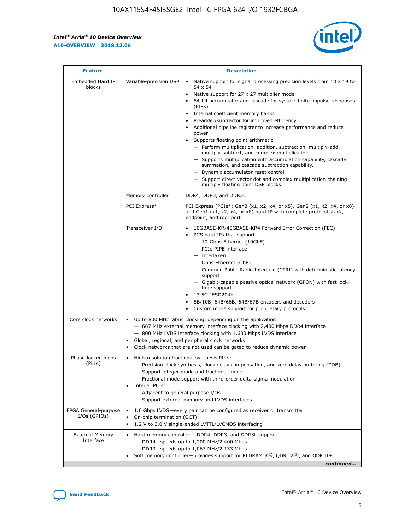r



| <b>Feature</b>                         | <b>Description</b>                                                                                             |                                                                                                                                                                                                                                                                                                                                                                                                                                                                                                                                                                                                                                                                                                                                                                                                                                        |  |  |  |  |  |
|----------------------------------------|----------------------------------------------------------------------------------------------------------------|----------------------------------------------------------------------------------------------------------------------------------------------------------------------------------------------------------------------------------------------------------------------------------------------------------------------------------------------------------------------------------------------------------------------------------------------------------------------------------------------------------------------------------------------------------------------------------------------------------------------------------------------------------------------------------------------------------------------------------------------------------------------------------------------------------------------------------------|--|--|--|--|--|
| Embedded Hard IP<br>blocks             | Variable-precision DSP                                                                                         | Native support for signal processing precision levels from $18 \times 19$ to<br>54 x 54<br>Native support for 27 x 27 multiplier mode<br>64-bit accumulator and cascade for systolic finite impulse responses<br>(FIRs)<br>Internal coefficient memory banks<br>$\bullet$<br>Preadder/subtractor for improved efficiency<br>Additional pipeline register to increase performance and reduce<br>power<br>Supports floating point arithmetic:<br>- Perform multiplication, addition, subtraction, multiply-add,<br>multiply-subtract, and complex multiplication.<br>- Supports multiplication with accumulation capability, cascade<br>summation, and cascade subtraction capability.<br>- Dynamic accumulator reset control.<br>- Support direct vector dot and complex multiplication chaining<br>multiply floating point DSP blocks. |  |  |  |  |  |
|                                        | Memory controller                                                                                              | DDR4, DDR3, and DDR3L                                                                                                                                                                                                                                                                                                                                                                                                                                                                                                                                                                                                                                                                                                                                                                                                                  |  |  |  |  |  |
|                                        | PCI Express*                                                                                                   | PCI Express (PCIe*) Gen3 (x1, x2, x4, or x8), Gen2 (x1, x2, x4, or x8)<br>and Gen1 (x1, x2, x4, or x8) hard IP with complete protocol stack,<br>endpoint, and root port                                                                                                                                                                                                                                                                                                                                                                                                                                                                                                                                                                                                                                                                |  |  |  |  |  |
|                                        | Transceiver I/O                                                                                                | 10GBASE-KR/40GBASE-KR4 Forward Error Correction (FEC)<br>PCS hard IPs that support:<br>$\bullet$<br>- 10-Gbps Ethernet (10GbE)<br>- PCIe PIPE interface<br>$-$ Interlaken<br>- Gbps Ethernet (GbE)<br>- Common Public Radio Interface (CPRI) with deterministic latency<br>support<br>- Gigabit-capable passive optical network (GPON) with fast lock-<br>time support<br>13.5G JESD204b<br>$\bullet$<br>8B/10B, 64B/66B, 64B/67B encoders and decoders<br>Custom mode support for proprietary protocols                                                                                                                                                                                                                                                                                                                               |  |  |  |  |  |
| Core clock networks                    | $\bullet$<br>$\bullet$                                                                                         | Up to 800 MHz fabric clocking, depending on the application:<br>- 667 MHz external memory interface clocking with 2,400 Mbps DDR4 interface<br>- 800 MHz LVDS interface clocking with 1,600 Mbps LVDS interface<br>Global, regional, and peripheral clock networks<br>Clock networks that are not used can be gated to reduce dynamic power                                                                                                                                                                                                                                                                                                                                                                                                                                                                                            |  |  |  |  |  |
| Phase-locked loops<br>(PLLs)           | High-resolution fractional synthesis PLLs:<br>$\bullet$<br>Integer PLLs:<br>- Adjacent to general purpose I/Os | - Precision clock synthesis, clock delay compensation, and zero delay buffering (ZDB)<br>- Support integer mode and fractional mode<br>- Fractional mode support with third-order delta-sigma modulation<br>- Support external memory and LVDS interfaces                                                                                                                                                                                                                                                                                                                                                                                                                                                                                                                                                                              |  |  |  |  |  |
| FPGA General-purpose<br>$I/Os$ (GPIOs) | On-chip termination (OCT)                                                                                      | 1.6 Gbps LVDS-every pair can be configured as receiver or transmitter<br>1.2 V to 3.0 V single-ended LVTTL/LVCMOS interfacing                                                                                                                                                                                                                                                                                                                                                                                                                                                                                                                                                                                                                                                                                                          |  |  |  |  |  |
| <b>External Memory</b><br>Interface    |                                                                                                                | Hard memory controller- DDR4, DDR3, and DDR3L support<br>$-$ DDR4-speeds up to 1,200 MHz/2,400 Mbps<br>- DDR3-speeds up to 1,067 MHz/2,133 Mbps<br>Soft memory controller—provides support for RLDRAM $3^{(2)}$ , QDR IV $^{(2)}$ , and QDR II+<br>continued                                                                                                                                                                                                                                                                                                                                                                                                                                                                                                                                                                           |  |  |  |  |  |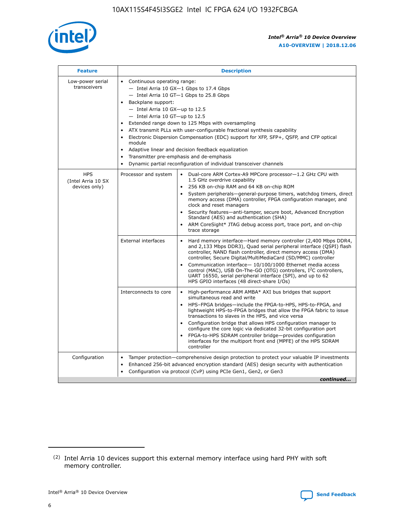

| <b>Feature</b>                                    | <b>Description</b>                                                                                                                                                                                                                                                                                                                                                                                                                                                                                                                                                                                                                           |
|---------------------------------------------------|----------------------------------------------------------------------------------------------------------------------------------------------------------------------------------------------------------------------------------------------------------------------------------------------------------------------------------------------------------------------------------------------------------------------------------------------------------------------------------------------------------------------------------------------------------------------------------------------------------------------------------------------|
| Low-power serial<br>transceivers                  | • Continuous operating range:<br>- Intel Arria 10 GX-1 Gbps to 17.4 Gbps<br>- Intel Arria 10 GT-1 Gbps to 25.8 Gbps<br>Backplane support:<br>$-$ Intel Arria 10 GX-up to 12.5<br>$-$ Intel Arria 10 GT-up to 12.5<br>Extended range down to 125 Mbps with oversampling<br>ATX transmit PLLs with user-configurable fractional synthesis capability<br>Electronic Dispersion Compensation (EDC) support for XFP, SFP+, QSFP, and CFP optical<br>module<br>• Adaptive linear and decision feedback equalization<br>Transmitter pre-emphasis and de-emphasis<br>$\bullet$<br>Dynamic partial reconfiguration of individual transceiver channels |
| <b>HPS</b><br>(Intel Arria 10 SX<br>devices only) | Dual-core ARM Cortex-A9 MPCore processor-1.2 GHz CPU with<br>Processor and system<br>$\bullet$<br>1.5 GHz overdrive capability<br>256 KB on-chip RAM and 64 KB on-chip ROM<br>System peripherals-general-purpose timers, watchdog timers, direct<br>memory access (DMA) controller, FPGA configuration manager, and<br>clock and reset managers<br>Security features-anti-tamper, secure boot, Advanced Encryption<br>$\bullet$<br>Standard (AES) and authentication (SHA)<br>ARM CoreSight* JTAG debug access port, trace port, and on-chip<br>trace storage                                                                                |
|                                                   | <b>External interfaces</b><br>Hard memory interface-Hard memory controller (2,400 Mbps DDR4,<br>$\bullet$<br>and 2,133 Mbps DDR3), Quad serial peripheral interface (QSPI) flash<br>controller, NAND flash controller, direct memory access (DMA)<br>controller, Secure Digital/MultiMediaCard (SD/MMC) controller<br>Communication interface-10/100/1000 Ethernet media access<br>$\bullet$<br>control (MAC), USB On-The-GO (OTG) controllers, I <sup>2</sup> C controllers,<br>UART 16550, serial peripheral interface (SPI), and up to 62<br>HPS GPIO interfaces (48 direct-share I/Os)                                                   |
|                                                   | High-performance ARM AMBA* AXI bus bridges that support<br>Interconnects to core<br>$\bullet$<br>simultaneous read and write<br>HPS-FPGA bridges-include the FPGA-to-HPS, HPS-to-FPGA, and<br>$\bullet$<br>lightweight HPS-to-FPGA bridges that allow the FPGA fabric to issue<br>transactions to slaves in the HPS, and vice versa<br>Configuration bridge that allows HPS configuration manager to<br>configure the core logic via dedicated 32-bit configuration port<br>FPGA-to-HPS SDRAM controller bridge-provides configuration<br>interfaces for the multiport front end (MPFE) of the HPS SDRAM<br>controller                       |
| Configuration                                     | Tamper protection—comprehensive design protection to protect your valuable IP investments<br>Enhanced 256-bit advanced encryption standard (AES) design security with authentication<br>٠<br>Configuration via protocol (CvP) using PCIe Gen1, Gen2, or Gen3<br>continued                                                                                                                                                                                                                                                                                                                                                                    |

<sup>(2)</sup> Intel Arria 10 devices support this external memory interface using hard PHY with soft memory controller.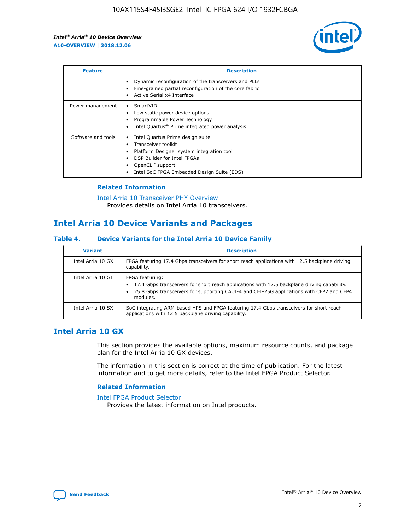

| <b>Feature</b>     | <b>Description</b>                                                                                                                                                                                               |
|--------------------|------------------------------------------------------------------------------------------------------------------------------------------------------------------------------------------------------------------|
|                    | Dynamic reconfiguration of the transceivers and PLLs<br>Fine-grained partial reconfiguration of the core fabric<br>Active Serial x4 Interface<br>$\bullet$                                                       |
| Power management   | SmartVID<br>Low static power device options<br>Programmable Power Technology<br>Intel Quartus <sup>®</sup> Prime integrated power analysis                                                                       |
| Software and tools | Intel Quartus Prime design suite<br>Transceiver toolkit<br>Platform Designer system integration tool<br>DSP Builder for Intel FPGAs<br>OpenCL <sup>™</sup> support<br>Intel SoC FPGA Embedded Design Suite (EDS) |

## **Related Information**

[Intel Arria 10 Transceiver PHY Overview](https://www.intel.com/content/www/us/en/programmable/documentation/nik1398707230472.html#nik1398706768037) Provides details on Intel Arria 10 transceivers.

## **Intel Arria 10 Device Variants and Packages**

#### **Table 4. Device Variants for the Intel Arria 10 Device Family**

| <b>Variant</b>    | <b>Description</b>                                                                                                                                                                                                     |
|-------------------|------------------------------------------------------------------------------------------------------------------------------------------------------------------------------------------------------------------------|
| Intel Arria 10 GX | FPGA featuring 17.4 Gbps transceivers for short reach applications with 12.5 backplane driving<br>capability.                                                                                                          |
| Intel Arria 10 GT | FPGA featuring:<br>17.4 Gbps transceivers for short reach applications with 12.5 backplane driving capability.<br>25.8 Gbps transceivers for supporting CAUI-4 and CEI-25G applications with CFP2 and CFP4<br>modules. |
| Intel Arria 10 SX | SoC integrating ARM-based HPS and FPGA featuring 17.4 Gbps transceivers for short reach<br>applications with 12.5 backplane driving capability.                                                                        |

## **Intel Arria 10 GX**

This section provides the available options, maximum resource counts, and package plan for the Intel Arria 10 GX devices.

The information in this section is correct at the time of publication. For the latest information and to get more details, refer to the Intel FPGA Product Selector.

#### **Related Information**

#### [Intel FPGA Product Selector](http://www.altera.com/products/selector/psg-selector.html) Provides the latest information on Intel products.

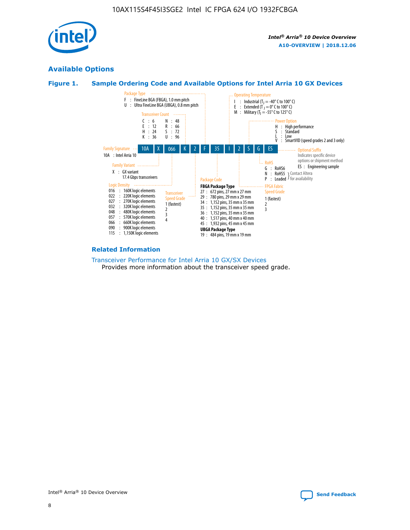

## **Available Options**





#### **Related Information**

[Transceiver Performance for Intel Arria 10 GX/SX Devices](https://www.intel.com/content/www/us/en/programmable/documentation/mcn1413182292568.html#mcn1413213965502) Provides more information about the transceiver speed grade.

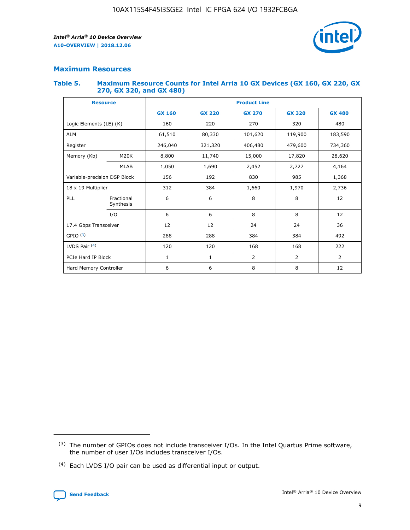

## **Maximum Resources**

#### **Table 5. Maximum Resource Counts for Intel Arria 10 GX Devices (GX 160, GX 220, GX 270, GX 320, and GX 480)**

| <b>Resource</b>         |                                                          | <b>Product Line</b> |                                |                |                |                |  |  |  |
|-------------------------|----------------------------------------------------------|---------------------|--------------------------------|----------------|----------------|----------------|--|--|--|
|                         |                                                          | <b>GX 160</b>       | <b>GX 220</b><br><b>GX 270</b> |                | <b>GX 320</b>  | <b>GX 480</b>  |  |  |  |
| Logic Elements (LE) (K) |                                                          | 160                 | 220                            | 270            | 320            | 480            |  |  |  |
| <b>ALM</b>              |                                                          | 61,510              | 80,330                         | 101,620        | 119,900        | 183,590        |  |  |  |
| Register                |                                                          | 246,040             | 321,320                        | 406,480        | 479,600        | 734,360        |  |  |  |
| Memory (Kb)             | M <sub>20</sub> K                                        | 8,800               | 11,740                         | 15,000         | 17,820         | 28,620         |  |  |  |
| <b>MLAB</b>             |                                                          | 1,050               | 1,690                          | 2,452          | 2,727          | 4,164          |  |  |  |
|                         | 192<br>830<br>985<br>Variable-precision DSP Block<br>156 |                     |                                |                | 1,368          |                |  |  |  |
| 18 x 19 Multiplier      |                                                          | 312                 | 384                            | 1,970<br>1,660 |                | 2,736          |  |  |  |
| PLL                     | Fractional<br>Synthesis                                  | 6                   | 6                              | 8              | 8              | 12             |  |  |  |
|                         | I/O                                                      | 6                   | 6                              | 8              | 8              | 12             |  |  |  |
| 17.4 Gbps Transceiver   |                                                          | 12                  | 12                             | 24             | 24             | 36             |  |  |  |
| GPIO <sup>(3)</sup>     |                                                          | 288                 | 288                            | 384<br>384     |                | 492            |  |  |  |
| LVDS Pair $(4)$         |                                                          | 120                 | 120                            | 168            | 168            | 222            |  |  |  |
| PCIe Hard IP Block      |                                                          | $\mathbf{1}$        | 1                              | $\overline{2}$ | $\overline{2}$ | $\overline{2}$ |  |  |  |
| Hard Memory Controller  |                                                          | 6                   | 6                              | 8              | 8              | 12             |  |  |  |

<sup>(4)</sup> Each LVDS I/O pair can be used as differential input or output.



<sup>(3)</sup> The number of GPIOs does not include transceiver I/Os. In the Intel Quartus Prime software, the number of user I/Os includes transceiver I/Os.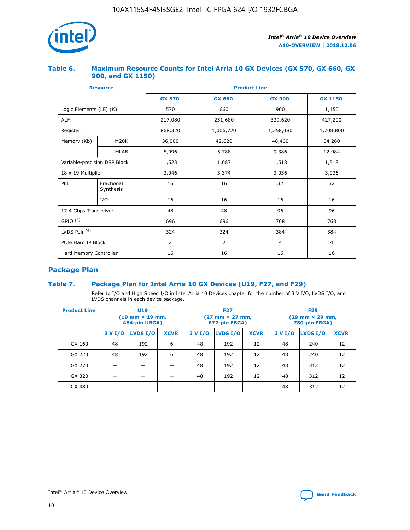

## **Table 6. Maximum Resource Counts for Intel Arria 10 GX Devices (GX 570, GX 660, GX 900, and GX 1150)**

|                              | <b>Resource</b>         | <b>Product Line</b> |               |                  |                |  |  |  |
|------------------------------|-------------------------|---------------------|---------------|------------------|----------------|--|--|--|
|                              |                         | <b>GX 570</b>       | <b>GX 660</b> | <b>GX 900</b>    | <b>GX 1150</b> |  |  |  |
| Logic Elements (LE) (K)      |                         | 570                 | 660           | 900              | 1,150          |  |  |  |
| <b>ALM</b>                   |                         | 217,080             | 251,680       | 339,620          | 427,200        |  |  |  |
| Register                     |                         | 868,320             | 1,006,720     | 1,358,480        | 1,708,800      |  |  |  |
| Memory (Kb)<br><b>M20K</b>   |                         | 36,000              | 42,620        | 48,460<br>54,260 |                |  |  |  |
|                              | <b>MLAB</b>             | 5,096               | 5,788         | 9,386            | 12,984         |  |  |  |
| Variable-precision DSP Block |                         | 1,523               | 1,687         | 1,518            | 1,518          |  |  |  |
| $18 \times 19$ Multiplier    |                         | 3,046               | 3,374         | 3,036            | 3,036          |  |  |  |
| PLL                          | Fractional<br>Synthesis | 16                  | 16            | 32               | 32             |  |  |  |
|                              | I/O                     | 16                  | 16            | 16               | 16             |  |  |  |
| 17.4 Gbps Transceiver        |                         | 48                  | 48            | 96               | 96             |  |  |  |
| GPIO <sup>(3)</sup>          |                         | 696                 | 696           | 768              | 768            |  |  |  |
| LVDS Pair $(4)$              |                         | 324                 | 324           | 384              | 384            |  |  |  |
| PCIe Hard IP Block           |                         | 2                   | 2             | $\overline{4}$   | $\overline{4}$ |  |  |  |
| Hard Memory Controller       |                         | 16                  | 16            | 16               | 16             |  |  |  |

## **Package Plan**

## **Table 7. Package Plan for Intel Arria 10 GX Devices (U19, F27, and F29)**

Refer to I/O and High Speed I/O in Intel Arria 10 Devices chapter for the number of 3 V I/O, LVDS I/O, and LVDS channels in each device package.

| <b>Product Line</b> | U <sub>19</sub><br>$(19 \text{ mm} \times 19 \text{ mm})$<br>484-pin UBGA) |          |             |         | <b>F27</b><br>(27 mm × 27 mm,<br>672-pin FBGA) |             | <b>F29</b><br>(29 mm × 29 mm,<br>780-pin FBGA) |          |             |  |
|---------------------|----------------------------------------------------------------------------|----------|-------------|---------|------------------------------------------------|-------------|------------------------------------------------|----------|-------------|--|
|                     | 3 V I/O                                                                    | LVDS I/O | <b>XCVR</b> | 3 V I/O | LVDS I/O                                       | <b>XCVR</b> | 3 V I/O                                        | LVDS I/O | <b>XCVR</b> |  |
| GX 160              | 48                                                                         | 192      | 6           | 48      | 192                                            | 12          | 48                                             | 240      | 12          |  |
| GX 220              | 48                                                                         | 192      | 6           | 48      | 192                                            | 12          | 48                                             | 240      | 12          |  |
| GX 270              |                                                                            |          |             | 48      | 192                                            | 12          | 48                                             | 312      | 12          |  |
| GX 320              |                                                                            |          |             | 48      | 192                                            | 12          | 48                                             | 312      | 12          |  |
| GX 480              |                                                                            |          |             |         |                                                |             | 48                                             | 312      | 12          |  |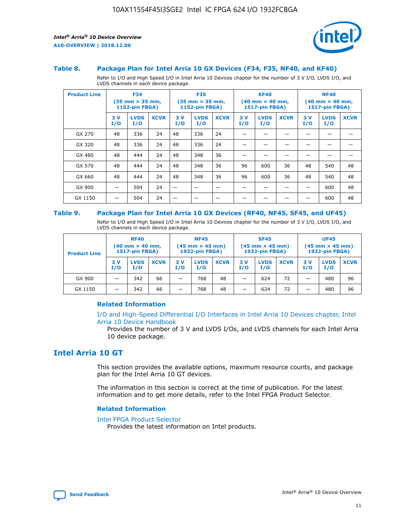

#### **Table 8. Package Plan for Intel Arria 10 GX Devices (F34, F35, NF40, and KF40)**

Refer to I/O and High Speed I/O in Intel Arria 10 Devices chapter for the number of 3 V I/O, LVDS I/O, and LVDS channels in each device package.

| <b>Product Line</b> | <b>F34</b><br>$(35 \text{ mm} \times 35 \text{ mm})$<br>1152-pin FBGA) |                    | <b>F35</b><br>$(35 \text{ mm} \times 35 \text{ mm})$<br><b>1152-pin FBGA)</b> |           | <b>KF40</b><br>$(40$ mm $\times$ 40 mm,<br>1517-pin FBGA) |             |           | <b>NF40</b><br>$(40$ mm $\times$ 40 mm,<br><b>1517-pin FBGA)</b> |             |            |                    |             |
|---------------------|------------------------------------------------------------------------|--------------------|-------------------------------------------------------------------------------|-----------|-----------------------------------------------------------|-------------|-----------|------------------------------------------------------------------|-------------|------------|--------------------|-------------|
|                     | 3V<br>I/O                                                              | <b>LVDS</b><br>I/O | <b>XCVR</b>                                                                   | 3V<br>I/O | <b>LVDS</b><br>I/O                                        | <b>XCVR</b> | 3V<br>I/O | <b>LVDS</b><br>I/O                                               | <b>XCVR</b> | 3 V<br>I/O | <b>LVDS</b><br>I/O | <b>XCVR</b> |
| GX 270              | 48                                                                     | 336                | 24                                                                            | 48        | 336                                                       | 24          |           |                                                                  |             |            |                    |             |
| GX 320              | 48                                                                     | 336                | 24                                                                            | 48        | 336                                                       | 24          |           |                                                                  |             |            |                    |             |
| GX 480              | 48                                                                     | 444                | 24                                                                            | 48        | 348                                                       | 36          |           |                                                                  |             |            |                    |             |
| GX 570              | 48                                                                     | 444                | 24                                                                            | 48        | 348                                                       | 36          | 96        | 600                                                              | 36          | 48         | 540                | 48          |
| GX 660              | 48                                                                     | 444                | 24                                                                            | 48        | 348                                                       | 36          | 96        | 600                                                              | 36          | 48         | 540                | 48          |
| GX 900              |                                                                        | 504                | 24                                                                            | -         |                                                           |             |           |                                                                  |             |            | 600                | 48          |
| GX 1150             |                                                                        | 504                | 24                                                                            |           |                                                           |             |           |                                                                  |             |            | 600                | 48          |

#### **Table 9. Package Plan for Intel Arria 10 GX Devices (RF40, NF45, SF45, and UF45)**

Refer to I/O and High Speed I/O in Intel Arria 10 Devices chapter for the number of 3 V I/O, LVDS I/O, and LVDS channels in each device package.

| <b>Product Line</b> | <b>RF40</b><br>$(40$ mm $\times$ 40 mm,<br>1517-pin FBGA) |                    | <b>NF45</b><br>$(45 \text{ mm} \times 45 \text{ mm})$<br><b>1932-pin FBGA)</b> |            |                    | <b>SF45</b><br>$(45 \text{ mm} \times 45 \text{ mm})$<br><b>1932-pin FBGA)</b> |            |                    | <b>UF45</b><br>$(45 \text{ mm} \times 45 \text{ mm})$<br><b>1932-pin FBGA)</b> |           |                    |             |
|---------------------|-----------------------------------------------------------|--------------------|--------------------------------------------------------------------------------|------------|--------------------|--------------------------------------------------------------------------------|------------|--------------------|--------------------------------------------------------------------------------|-----------|--------------------|-------------|
|                     | 3V<br>I/O                                                 | <b>LVDS</b><br>I/O | <b>XCVR</b>                                                                    | 3 V<br>I/O | <b>LVDS</b><br>I/O | <b>XCVR</b>                                                                    | 3 V<br>I/O | <b>LVDS</b><br>I/O | <b>XCVR</b>                                                                    | 3V<br>I/O | <b>LVDS</b><br>I/O | <b>XCVR</b> |
| GX 900              |                                                           | 342                | 66                                                                             | _          | 768                | 48                                                                             |            | 624                | 72                                                                             |           | 480                | 96          |
| GX 1150             |                                                           | 342                | 66                                                                             | _          | 768                | 48                                                                             |            | 624                | 72                                                                             |           | 480                | 96          |

### **Related Information**

[I/O and High-Speed Differential I/O Interfaces in Intel Arria 10 Devices chapter, Intel](https://www.intel.com/content/www/us/en/programmable/documentation/sam1403482614086.html#sam1403482030321) [Arria 10 Device Handbook](https://www.intel.com/content/www/us/en/programmable/documentation/sam1403482614086.html#sam1403482030321)

Provides the number of 3 V and LVDS I/Os, and LVDS channels for each Intel Arria 10 device package.

## **Intel Arria 10 GT**

This section provides the available options, maximum resource counts, and package plan for the Intel Arria 10 GT devices.

The information in this section is correct at the time of publication. For the latest information and to get more details, refer to the Intel FPGA Product Selector.

#### **Related Information**

#### [Intel FPGA Product Selector](http://www.altera.com/products/selector/psg-selector.html)

Provides the latest information on Intel products.

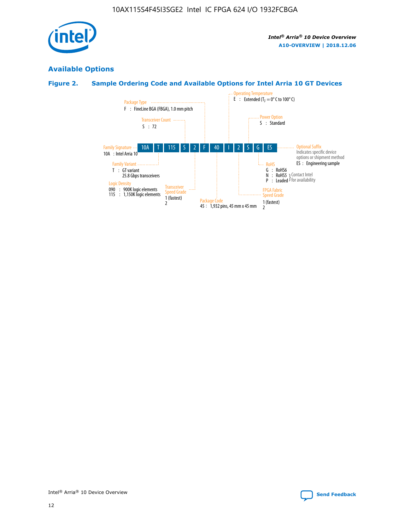

## **Available Options**

## **Figure 2. Sample Ordering Code and Available Options for Intel Arria 10 GT Devices**

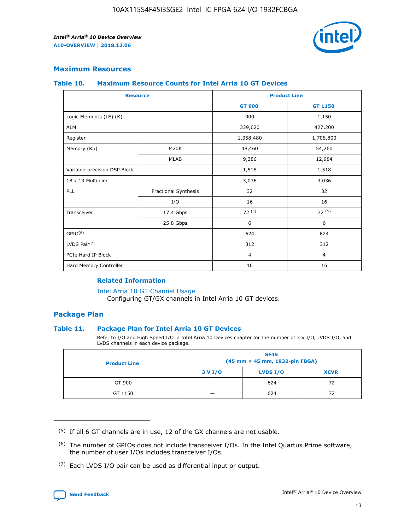

## **Maximum Resources**

#### **Table 10. Maximum Resource Counts for Intel Arria 10 GT Devices**

| <b>Resource</b>              |                      |                | <b>Product Line</b> |  |
|------------------------------|----------------------|----------------|---------------------|--|
|                              |                      | <b>GT 900</b>  | GT 1150             |  |
| Logic Elements (LE) (K)      |                      | 900            | 1,150               |  |
| <b>ALM</b>                   |                      | 339,620        | 427,200             |  |
| Register                     |                      | 1,358,480      | 1,708,800           |  |
| Memory (Kb)                  | M <sub>20</sub> K    | 48,460         | 54,260              |  |
|                              | <b>MLAB</b>          | 9,386          | 12,984              |  |
| Variable-precision DSP Block |                      | 1,518          | 1,518               |  |
| 18 x 19 Multiplier           |                      | 3,036          | 3,036               |  |
| PLL                          | Fractional Synthesis | 32             | 32                  |  |
|                              | I/O                  | 16             | 16                  |  |
| Transceiver                  | 17.4 Gbps            | 72(5)          | 72(5)               |  |
|                              | 25.8 Gbps            | 6              | 6                   |  |
| GPIO <sup>(6)</sup>          |                      | 624            | 624                 |  |
| LVDS Pair $(7)$              |                      | 312            | 312                 |  |
| PCIe Hard IP Block           |                      | $\overline{4}$ | $\overline{4}$      |  |
| Hard Memory Controller       |                      | 16             | 16                  |  |

### **Related Information**

#### [Intel Arria 10 GT Channel Usage](https://www.intel.com/content/www/us/en/programmable/documentation/nik1398707230472.html#nik1398707008178)

Configuring GT/GX channels in Intel Arria 10 GT devices.

## **Package Plan**

#### **Table 11. Package Plan for Intel Arria 10 GT Devices**

Refer to I/O and High Speed I/O in Intel Arria 10 Devices chapter for the number of 3 V I/O, LVDS I/O, and LVDS channels in each device package.

| <b>Product Line</b> | <b>SF45</b><br>(45 mm × 45 mm, 1932-pin FBGA) |                 |             |  |  |  |  |
|---------------------|-----------------------------------------------|-----------------|-------------|--|--|--|--|
|                     | 3 V I/O                                       | <b>LVDS I/O</b> | <b>XCVR</b> |  |  |  |  |
| GT 900              |                                               | 624             | 72          |  |  |  |  |
| GT 1150             |                                               | 624             | 72          |  |  |  |  |

<sup>(7)</sup> Each LVDS I/O pair can be used as differential input or output.



 $(5)$  If all 6 GT channels are in use, 12 of the GX channels are not usable.

<sup>(6)</sup> The number of GPIOs does not include transceiver I/Os. In the Intel Quartus Prime software, the number of user I/Os includes transceiver I/Os.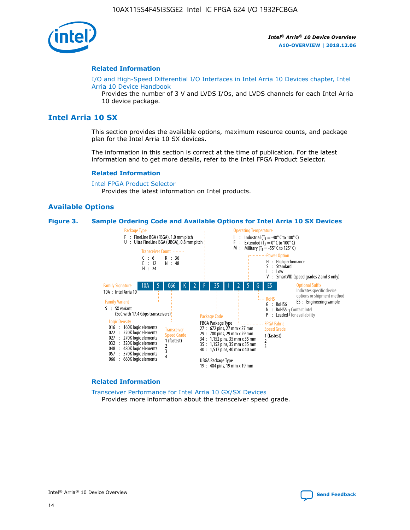

#### **Related Information**

[I/O and High-Speed Differential I/O Interfaces in Intel Arria 10 Devices chapter, Intel](https://www.intel.com/content/www/us/en/programmable/documentation/sam1403482614086.html#sam1403482030321) [Arria 10 Device Handbook](https://www.intel.com/content/www/us/en/programmable/documentation/sam1403482614086.html#sam1403482030321)

Provides the number of 3 V and LVDS I/Os, and LVDS channels for each Intel Arria 10 device package.

## **Intel Arria 10 SX**

This section provides the available options, maximum resource counts, and package plan for the Intel Arria 10 SX devices.

The information in this section is correct at the time of publication. For the latest information and to get more details, refer to the Intel FPGA Product Selector.

#### **Related Information**

[Intel FPGA Product Selector](http://www.altera.com/products/selector/psg-selector.html) Provides the latest information on Intel products.

#### **Available Options**

#### **Figure 3. Sample Ordering Code and Available Options for Intel Arria 10 SX Devices**



#### **Related Information**

[Transceiver Performance for Intel Arria 10 GX/SX Devices](https://www.intel.com/content/www/us/en/programmable/documentation/mcn1413182292568.html#mcn1413213965502) Provides more information about the transceiver speed grade.

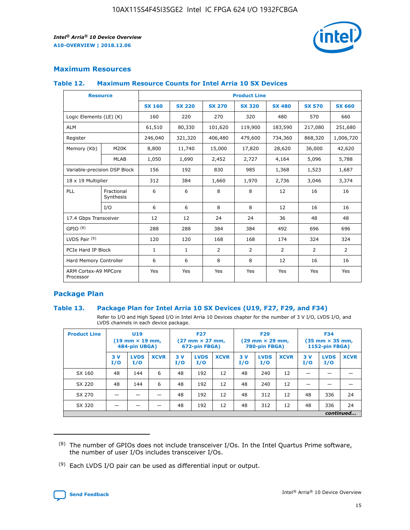

## **Maximum Resources**

#### **Table 12. Maximum Resource Counts for Intel Arria 10 SX Devices**

| <b>Resource</b>                   |                         |               |               |                | <b>Product Line</b> |                |                |               |
|-----------------------------------|-------------------------|---------------|---------------|----------------|---------------------|----------------|----------------|---------------|
|                                   |                         | <b>SX 160</b> | <b>SX 220</b> | <b>SX 270</b>  | <b>SX 320</b>       | <b>SX 480</b>  | <b>SX 570</b>  | <b>SX 660</b> |
| Logic Elements (LE) (K)           |                         | 160           | 220           | 270            | 320                 | 480            | 570            | 660           |
| <b>ALM</b>                        |                         | 61,510        | 80,330        | 101,620        | 119,900             | 183,590        | 217,080        | 251,680       |
| Register                          |                         | 246,040       | 321,320       | 406,480        | 479,600             | 734,360        | 868,320        | 1,006,720     |
| Memory (Kb)                       | M20K                    | 8,800         | 11,740        | 15,000         | 17,820              | 28,620         | 36,000         | 42,620        |
|                                   | <b>MLAB</b>             | 1,050         | 1,690         | 2,452          | 2,727               | 4,164          | 5,096          | 5,788         |
| Variable-precision DSP Block      |                         | 156           | 192           | 830            | 985                 | 1,368          | 1,523          | 1,687         |
| 18 x 19 Multiplier                |                         | 312           | 384           | 1,660          | 1,970               | 2,736          | 3,046          | 3,374         |
| PLL                               | Fractional<br>Synthesis | 6             | 6             | 8              | 8                   | 12             | 16             | 16            |
|                                   | I/O                     | 6             | 6             | 8              | 8                   | 12             | 16             | 16            |
| 17.4 Gbps Transceiver             |                         | 12            | 12            | 24             | 24                  | 36             | 48             | 48            |
| GPIO <sup>(8)</sup>               |                         | 288           | 288           | 384            | 384                 | 492            | 696            | 696           |
| LVDS Pair $(9)$                   |                         | 120           | 120           | 168            | 168                 | 174            | 324            | 324           |
| PCIe Hard IP Block                |                         | $\mathbf{1}$  | $\mathbf{1}$  | $\overline{2}$ | $\overline{2}$      | $\overline{2}$ | $\overline{2}$ | 2             |
| Hard Memory Controller            |                         | 6             | 6             | 8              | 8                   | 12             | 16             | 16            |
| ARM Cortex-A9 MPCore<br>Processor |                         | Yes           | Yes           | Yes            | Yes                 | Yes            | Yes            | <b>Yes</b>    |

## **Package Plan**

#### **Table 13. Package Plan for Intel Arria 10 SX Devices (U19, F27, F29, and F34)**

Refer to I/O and High Speed I/O in Intel Arria 10 Devices chapter for the number of 3 V I/O, LVDS I/O, and LVDS channels in each device package.

| <b>Product Line</b> | U19<br>$(19 \text{ mm} \times 19 \text{ mm})$<br>484-pin UBGA) |                    | <b>F27</b><br>$(27 \text{ mm} \times 27 \text{ mm})$<br>672-pin FBGA) |           | <b>F29</b><br>$(29 \text{ mm} \times 29 \text{ mm})$<br>780-pin FBGA) |             |            | <b>F34</b><br>$(35 \text{ mm} \times 35 \text{ mm})$<br><b>1152-pin FBGA)</b> |             |           |                    |             |
|---------------------|----------------------------------------------------------------|--------------------|-----------------------------------------------------------------------|-----------|-----------------------------------------------------------------------|-------------|------------|-------------------------------------------------------------------------------|-------------|-----------|--------------------|-------------|
|                     | 3V<br>I/O                                                      | <b>LVDS</b><br>I/O | <b>XCVR</b>                                                           | 3V<br>I/O | <b>LVDS</b><br>I/O                                                    | <b>XCVR</b> | 3 V<br>I/O | <b>LVDS</b><br>I/O                                                            | <b>XCVR</b> | 3V<br>I/O | <b>LVDS</b><br>I/O | <b>XCVR</b> |
| SX 160              | 48                                                             | 144                | 6                                                                     | 48        | 192                                                                   | 12          | 48         | 240                                                                           | 12          | –         |                    |             |
| SX 220              | 48                                                             | 144                | 6                                                                     | 48        | 192                                                                   | 12          | 48         | 240                                                                           | 12          |           |                    |             |
| SX 270              |                                                                |                    |                                                                       | 48        | 192                                                                   | 12          | 48         | 312                                                                           | 12          | 48        | 336                | 24          |
| SX 320              |                                                                |                    |                                                                       | 48        | 192                                                                   | 12          | 48         | 312                                                                           | 12          | 48        | 336                | 24          |
| continued           |                                                                |                    |                                                                       |           |                                                                       |             |            |                                                                               |             |           |                    |             |

 $(8)$  The number of GPIOs does not include transceiver I/Os. In the Intel Quartus Prime software, the number of user I/Os includes transceiver I/Os.

 $(9)$  Each LVDS I/O pair can be used as differential input or output.

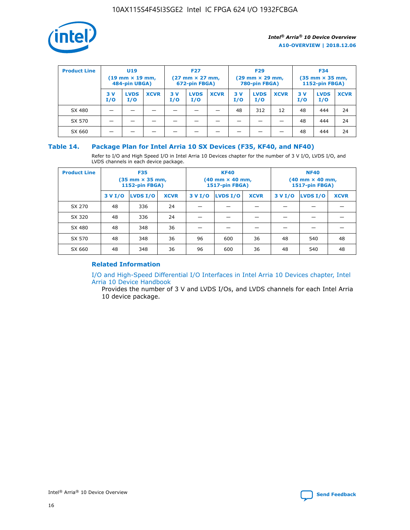

| <b>Product Line</b> | U <sub>19</sub><br>$(19 \text{ mm} \times 19 \text{ mm})$<br>484-pin UBGA) |                    | <b>F27</b><br>$(27 \text{ mm} \times 27 \text{ mm})$<br>672-pin FBGA) |           | <b>F29</b><br>$(29 \text{ mm} \times 29 \text{ mm})$<br>780-pin FBGA) |             |           | <b>F34</b><br>$(35 \text{ mm} \times 35 \text{ mm})$<br><b>1152-pin FBGA)</b> |             |           |                    |             |
|---------------------|----------------------------------------------------------------------------|--------------------|-----------------------------------------------------------------------|-----------|-----------------------------------------------------------------------|-------------|-----------|-------------------------------------------------------------------------------|-------------|-----------|--------------------|-------------|
|                     | 3 V<br>I/O                                                                 | <b>LVDS</b><br>I/O | <b>XCVR</b>                                                           | 3V<br>I/O | <b>LVDS</b><br>I/O                                                    | <b>XCVR</b> | 3V<br>I/O | <b>LVDS</b><br>I/O                                                            | <b>XCVR</b> | 3V<br>I/O | <b>LVDS</b><br>I/O | <b>XCVR</b> |
| SX 480              |                                                                            |                    |                                                                       |           |                                                                       |             | 48        | 312                                                                           | 12          | 48        | 444                | 24          |
| SX 570              |                                                                            |                    |                                                                       |           |                                                                       |             |           |                                                                               |             | 48        | 444                | 24          |
| SX 660              |                                                                            |                    |                                                                       |           |                                                                       |             |           |                                                                               |             | 48        | 444                | 24          |

## **Table 14. Package Plan for Intel Arria 10 SX Devices (F35, KF40, and NF40)**

Refer to I/O and High Speed I/O in Intel Arria 10 Devices chapter for the number of 3 V I/O, LVDS I/O, and LVDS channels in each device package.

| <b>Product Line</b> | <b>F35</b><br>$(35 \text{ mm} \times 35 \text{ mm})$<br><b>1152-pin FBGA)</b> |          |             |                                           | <b>KF40</b><br>(40 mm × 40 mm,<br>1517-pin FBGA) |    | <b>NF40</b><br>$(40 \text{ mm} \times 40 \text{ mm})$<br>1517-pin FBGA) |          |             |  |
|---------------------|-------------------------------------------------------------------------------|----------|-------------|-------------------------------------------|--------------------------------------------------|----|-------------------------------------------------------------------------|----------|-------------|--|
|                     | 3 V I/O                                                                       | LVDS I/O | <b>XCVR</b> | <b>LVDS I/O</b><br><b>XCVR</b><br>3 V I/O |                                                  |    | 3 V I/O                                                                 | LVDS I/O | <b>XCVR</b> |  |
| SX 270              | 48                                                                            | 336      | 24          |                                           |                                                  |    |                                                                         |          |             |  |
| SX 320              | 48                                                                            | 336      | 24          |                                           |                                                  |    |                                                                         |          |             |  |
| SX 480              | 48                                                                            | 348      | 36          |                                           |                                                  |    |                                                                         |          |             |  |
| SX 570              | 48                                                                            | 348      | 36          | 96                                        | 600                                              | 36 | 48                                                                      | 540      | 48          |  |
| SX 660              | 48                                                                            | 348      | 36          | 96                                        | 600                                              | 36 | 48                                                                      | 540      | 48          |  |

## **Related Information**

[I/O and High-Speed Differential I/O Interfaces in Intel Arria 10 Devices chapter, Intel](https://www.intel.com/content/www/us/en/programmable/documentation/sam1403482614086.html#sam1403482030321) [Arria 10 Device Handbook](https://www.intel.com/content/www/us/en/programmable/documentation/sam1403482614086.html#sam1403482030321)

Provides the number of 3 V and LVDS I/Os, and LVDS channels for each Intel Arria 10 device package.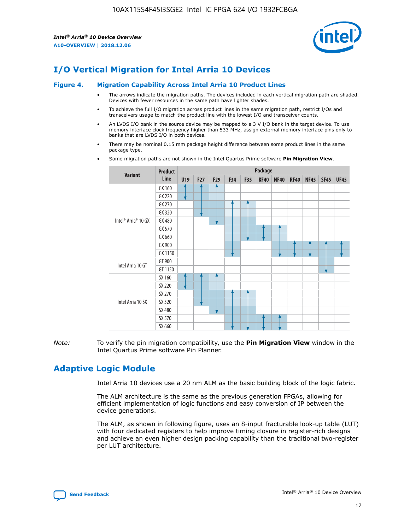

# **I/O Vertical Migration for Intel Arria 10 Devices**

#### **Figure 4. Migration Capability Across Intel Arria 10 Product Lines**

- The arrows indicate the migration paths. The devices included in each vertical migration path are shaded. Devices with fewer resources in the same path have lighter shades.
- To achieve the full I/O migration across product lines in the same migration path, restrict I/Os and transceivers usage to match the product line with the lowest I/O and transceiver counts.
- An LVDS I/O bank in the source device may be mapped to a 3 V I/O bank in the target device. To use memory interface clock frequency higher than 533 MHz, assign external memory interface pins only to banks that are LVDS I/O in both devices.
- There may be nominal 0.15 mm package height difference between some product lines in the same package type.
	- **Variant Product Line Package U19 F27 F29 F34 F35 KF40 NF40 RF40 NF45 SF45 UF45** Intel® Arria® 10 GX GX 160 GX 220 GX 270 GX 320 GX 480 GX 570 GX 660 GX 900 GX 1150 Intel Arria 10 GT GT 900 GT 1150 Intel Arria 10 SX SX 160 SX 220 SX 270 SX 320 SX 480 SX 570 SX 660
- Some migration paths are not shown in the Intel Quartus Prime software **Pin Migration View**.

*Note:* To verify the pin migration compatibility, use the **Pin Migration View** window in the Intel Quartus Prime software Pin Planner.

## **Adaptive Logic Module**

Intel Arria 10 devices use a 20 nm ALM as the basic building block of the logic fabric.

The ALM architecture is the same as the previous generation FPGAs, allowing for efficient implementation of logic functions and easy conversion of IP between the device generations.

The ALM, as shown in following figure, uses an 8-input fracturable look-up table (LUT) with four dedicated registers to help improve timing closure in register-rich designs and achieve an even higher design packing capability than the traditional two-register per LUT architecture.

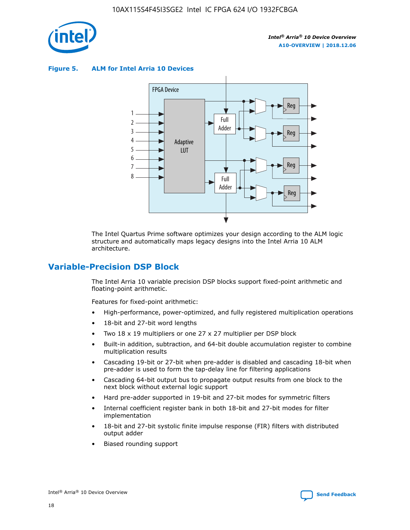

**Figure 5. ALM for Intel Arria 10 Devices**



The Intel Quartus Prime software optimizes your design according to the ALM logic structure and automatically maps legacy designs into the Intel Arria 10 ALM architecture.

## **Variable-Precision DSP Block**

The Intel Arria 10 variable precision DSP blocks support fixed-point arithmetic and floating-point arithmetic.

Features for fixed-point arithmetic:

- High-performance, power-optimized, and fully registered multiplication operations
- 18-bit and 27-bit word lengths
- Two 18 x 19 multipliers or one 27 x 27 multiplier per DSP block
- Built-in addition, subtraction, and 64-bit double accumulation register to combine multiplication results
- Cascading 19-bit or 27-bit when pre-adder is disabled and cascading 18-bit when pre-adder is used to form the tap-delay line for filtering applications
- Cascading 64-bit output bus to propagate output results from one block to the next block without external logic support
- Hard pre-adder supported in 19-bit and 27-bit modes for symmetric filters
- Internal coefficient register bank in both 18-bit and 27-bit modes for filter implementation
- 18-bit and 27-bit systolic finite impulse response (FIR) filters with distributed output adder
- Biased rounding support

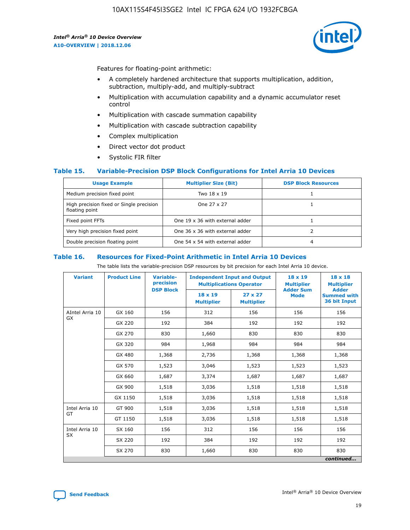

Features for floating-point arithmetic:

- A completely hardened architecture that supports multiplication, addition, subtraction, multiply-add, and multiply-subtract
- Multiplication with accumulation capability and a dynamic accumulator reset control
- Multiplication with cascade summation capability
- Multiplication with cascade subtraction capability
- Complex multiplication
- Direct vector dot product
- Systolic FIR filter

#### **Table 15. Variable-Precision DSP Block Configurations for Intel Arria 10 Devices**

| <b>Usage Example</b>                                       | <b>Multiplier Size (Bit)</b>    | <b>DSP Block Resources</b> |
|------------------------------------------------------------|---------------------------------|----------------------------|
| Medium precision fixed point                               | Two 18 x 19                     |                            |
| High precision fixed or Single precision<br>floating point | One 27 x 27                     |                            |
| Fixed point FFTs                                           | One 19 x 36 with external adder |                            |
| Very high precision fixed point                            | One 36 x 36 with external adder |                            |
| Double precision floating point                            | One 54 x 54 with external adder | 4                          |

#### **Table 16. Resources for Fixed-Point Arithmetic in Intel Arria 10 Devices**

The table lists the variable-precision DSP resources by bit precision for each Intel Arria 10 device.

| <b>Variant</b>  | <b>Product Line</b> | Variable-<br>precision<br><b>DSP Block</b> | <b>Independent Input and Output</b><br><b>Multiplications Operator</b> |                                     | 18 x 19<br><b>Multiplier</b><br><b>Adder Sum</b> | $18 \times 18$<br><b>Multiplier</b><br><b>Adder</b> |
|-----------------|---------------------|--------------------------------------------|------------------------------------------------------------------------|-------------------------------------|--------------------------------------------------|-----------------------------------------------------|
|                 |                     |                                            | 18 x 19<br><b>Multiplier</b>                                           | $27 \times 27$<br><b>Multiplier</b> | <b>Mode</b>                                      | <b>Summed with</b><br>36 bit Input                  |
| AIntel Arria 10 | GX 160              | 156                                        | 312                                                                    | 156                                 | 156                                              | 156                                                 |
| GX              | GX 220              | 192                                        | 384                                                                    | 192                                 | 192                                              | 192                                                 |
|                 | GX 270              | 830                                        | 1,660                                                                  | 830                                 | 830                                              | 830                                                 |
|                 | GX 320              | 984                                        | 1,968                                                                  | 984                                 | 984                                              | 984                                                 |
|                 | GX 480              | 1,368                                      | 2,736                                                                  | 1,368                               | 1,368                                            | 1,368                                               |
|                 | GX 570              | 1,523                                      | 3,046                                                                  | 1,523                               | 1,523                                            | 1,523                                               |
|                 | GX 660              | 1,687                                      | 3,374                                                                  | 1,687                               | 1,687                                            | 1,687                                               |
|                 | GX 900              | 1,518                                      | 3,036                                                                  | 1,518                               | 1,518                                            | 1,518                                               |
|                 | GX 1150             | 1,518                                      | 3,036                                                                  | 1,518                               | 1,518                                            | 1,518                                               |
| Intel Arria 10  | GT 900              | 1,518                                      | 3,036                                                                  | 1,518                               | 1,518                                            | 1,518                                               |
| GT              | GT 1150             | 1,518                                      | 3,036                                                                  | 1,518                               | 1,518                                            | 1,518                                               |
| Intel Arria 10  | SX 160              | 156                                        | 312                                                                    | 156                                 | 156                                              | 156                                                 |
| <b>SX</b>       | SX 220              | 192                                        | 384                                                                    | 192                                 | 192                                              | 192                                                 |
|                 | SX 270              | 830                                        | 1,660                                                                  | 830                                 | 830                                              | 830                                                 |
|                 |                     |                                            |                                                                        |                                     |                                                  | continued                                           |

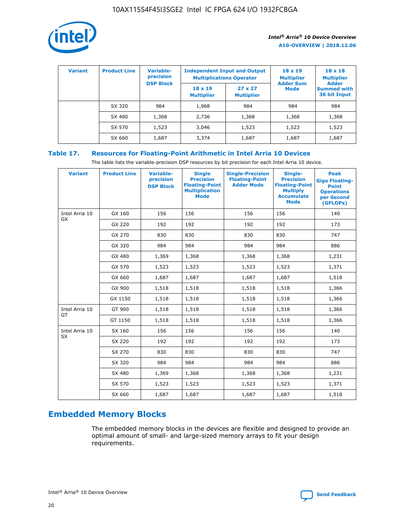

| <b>Variant</b> | <b>Product Line</b> | <b>Variable-</b><br>precision | <b>Multiplications Operator</b>     | <b>Independent Input and Output</b> | $18 \times 19$<br><b>Multiplier</b> | $18 \times 18$<br><b>Multiplier</b>                |
|----------------|---------------------|-------------------------------|-------------------------------------|-------------------------------------|-------------------------------------|----------------------------------------------------|
|                |                     | <b>DSP Block</b>              | $18 \times 19$<br><b>Multiplier</b> | $27 \times 27$<br><b>Multiplier</b> | <b>Adder Sum</b><br><b>Mode</b>     | <b>Adder</b><br><b>Summed with</b><br>36 bit Input |
|                | SX 320              | 984                           | 1,968                               | 984                                 | 984                                 | 984                                                |
|                | SX 480              | 1,368                         | 2,736                               | 1,368                               | 1,368                               | 1,368                                              |
|                | SX 570              | 1,523                         | 3,046                               | 1,523                               | 1,523                               | 1,523                                              |
|                | SX 660              | 1,687                         | 3,374                               | 1,687                               | 1,687                               | 1,687                                              |

## **Table 17. Resources for Floating-Point Arithmetic in Intel Arria 10 Devices**

The table lists the variable-precision DSP resources by bit precision for each Intel Arria 10 device.

| <b>Variant</b> | <b>Product Line</b> | <b>Variable-</b><br>precision<br><b>DSP Block</b> | <b>Single</b><br><b>Precision</b><br><b>Floating-Point</b><br><b>Multiplication</b><br><b>Mode</b> | <b>Single-Precision</b><br><b>Floating-Point</b><br><b>Adder Mode</b> | Single-<br><b>Precision</b><br><b>Floating-Point</b><br><b>Multiply</b><br><b>Accumulate</b><br><b>Mode</b> | <b>Peak</b><br><b>Giga Floating-</b><br><b>Point</b><br><b>Operations</b><br>per Second<br>(GFLOPs) |
|----------------|---------------------|---------------------------------------------------|----------------------------------------------------------------------------------------------------|-----------------------------------------------------------------------|-------------------------------------------------------------------------------------------------------------|-----------------------------------------------------------------------------------------------------|
| Intel Arria 10 | GX 160              | 156                                               | 156                                                                                                | 156                                                                   | 156                                                                                                         | 140                                                                                                 |
| GX             | GX 220              | 192                                               | 192                                                                                                | 192                                                                   | 192                                                                                                         | 173                                                                                                 |
|                | GX 270              | 830                                               | 830                                                                                                | 830                                                                   | 830                                                                                                         | 747                                                                                                 |
|                | GX 320              | 984                                               | 984                                                                                                | 984                                                                   | 984                                                                                                         | 886                                                                                                 |
|                | GX 480              | 1,369                                             | 1,368                                                                                              | 1,368                                                                 | 1,368                                                                                                       | 1,231                                                                                               |
|                | GX 570              | 1,523                                             | 1,523                                                                                              | 1,523                                                                 | 1,523                                                                                                       | 1,371                                                                                               |
|                | GX 660              | 1,687                                             | 1,687                                                                                              | 1,687                                                                 | 1,687                                                                                                       | 1,518                                                                                               |
|                | GX 900              | 1,518                                             | 1,518                                                                                              | 1,518                                                                 | 1,518                                                                                                       | 1,366                                                                                               |
|                | GX 1150             | 1,518                                             | 1,518                                                                                              | 1,518                                                                 | 1,518                                                                                                       | 1,366                                                                                               |
| Intel Arria 10 | GT 900              | 1,518                                             | 1,518                                                                                              | 1,518                                                                 | 1,518                                                                                                       | 1,366                                                                                               |
| GT             | GT 1150             | 1,518                                             | 1,518                                                                                              | 1,518                                                                 | 1,518                                                                                                       | 1,366                                                                                               |
| Intel Arria 10 | SX 160              | 156                                               | 156                                                                                                | 156                                                                   | 156                                                                                                         | 140                                                                                                 |
| SX             | SX 220              | 192                                               | 192                                                                                                | 192                                                                   | 192                                                                                                         | 173                                                                                                 |
|                | SX 270              | 830                                               | 830                                                                                                | 830                                                                   | 830                                                                                                         | 747                                                                                                 |
|                | SX 320              | 984                                               | 984                                                                                                | 984                                                                   | 984                                                                                                         | 886                                                                                                 |
|                | SX 480              | 1,369                                             | 1,368                                                                                              | 1,368                                                                 | 1,368                                                                                                       | 1,231                                                                                               |
|                | SX 570              | 1,523                                             | 1,523                                                                                              | 1,523                                                                 | 1,523                                                                                                       | 1,371                                                                                               |
|                | SX 660              | 1,687                                             | 1,687                                                                                              | 1,687                                                                 | 1,687                                                                                                       | 1,518                                                                                               |

# **Embedded Memory Blocks**

The embedded memory blocks in the devices are flexible and designed to provide an optimal amount of small- and large-sized memory arrays to fit your design requirements.

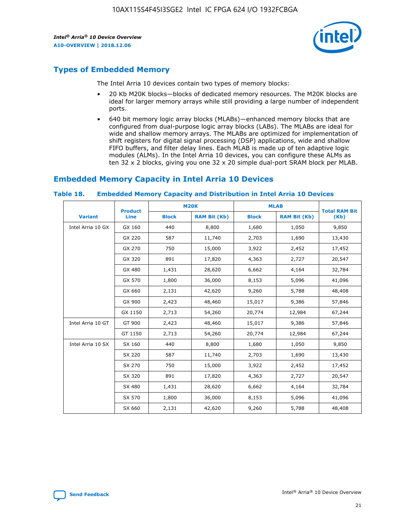

## **Types of Embedded Memory**

The Intel Arria 10 devices contain two types of memory blocks:

- 20 Kb M20K blocks—blocks of dedicated memory resources. The M20K blocks are ideal for larger memory arrays while still providing a large number of independent ports.
- 640 bit memory logic array blocks (MLABs)—enhanced memory blocks that are configured from dual-purpose logic array blocks (LABs). The MLABs are ideal for wide and shallow memory arrays. The MLABs are optimized for implementation of shift registers for digital signal processing (DSP) applications, wide and shallow FIFO buffers, and filter delay lines. Each MLAB is made up of ten adaptive logic modules (ALMs). In the Intel Arria 10 devices, you can configure these ALMs as ten 32 x 2 blocks, giving you one 32 x 20 simple dual-port SRAM block per MLAB.

## **Embedded Memory Capacity in Intel Arria 10 Devices**

|                   | <b>Product</b> |              | <b>M20K</b>         | <b>MLAB</b>  |                     | <b>Total RAM Bit</b> |
|-------------------|----------------|--------------|---------------------|--------------|---------------------|----------------------|
| <b>Variant</b>    | Line           | <b>Block</b> | <b>RAM Bit (Kb)</b> | <b>Block</b> | <b>RAM Bit (Kb)</b> | (Kb)                 |
| Intel Arria 10 GX | GX 160         | 440          | 8,800               | 1,680        | 1,050               | 9,850                |
|                   | GX 220         | 587          | 11,740              | 2,703        | 1,690               | 13,430               |
|                   | GX 270         | 750          | 15,000              | 3,922        | 2,452               | 17,452               |
|                   | GX 320         | 891          | 17,820              | 4,363        | 2,727               | 20,547               |
|                   | GX 480         | 1,431        | 28,620              | 6,662        | 4,164               | 32,784               |
|                   | GX 570         | 1,800        | 36,000              | 8,153        | 5,096               | 41,096               |
|                   | GX 660         | 2,131        | 42,620              | 9,260        | 5,788               | 48,408               |
|                   | GX 900         | 2,423        | 48,460              | 15,017       | 9,386               | 57,846               |
|                   | GX 1150        | 2,713        | 54,260              | 20,774       | 12,984              | 67,244               |
| Intel Arria 10 GT | GT 900         | 2,423        | 48,460              | 15,017       | 9,386               | 57,846               |
|                   | GT 1150        | 2,713        | 54,260              | 20,774       | 12,984              | 67,244               |
| Intel Arria 10 SX | SX 160         | 440          | 8,800               | 1,680        | 1,050               | 9,850                |
|                   | SX 220         | 587          | 11,740              | 2,703        | 1,690               | 13,430               |
|                   | SX 270         | 750          | 15,000              | 3,922        | 2,452               | 17,452               |
|                   | SX 320         | 891          | 17,820              | 4,363        | 2,727               | 20,547               |
|                   | SX 480         | 1,431        | 28,620              | 6,662        | 4,164               | 32,784               |
|                   | SX 570         | 1,800        | 36,000              | 8,153        | 5,096               | 41,096               |
|                   | SX 660         | 2,131        | 42,620              | 9,260        | 5,788               | 48,408               |

#### **Table 18. Embedded Memory Capacity and Distribution in Intel Arria 10 Devices**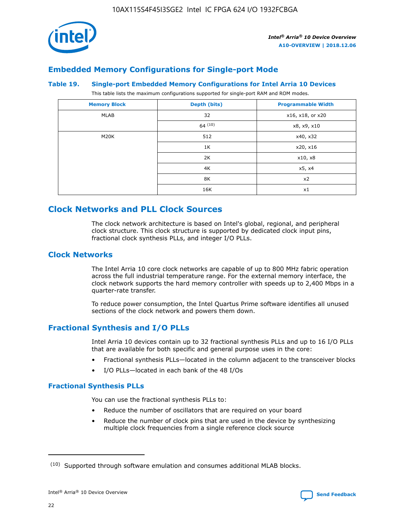

## **Embedded Memory Configurations for Single-port Mode**

#### **Table 19. Single-port Embedded Memory Configurations for Intel Arria 10 Devices**

This table lists the maximum configurations supported for single-port RAM and ROM modes.

| <b>Memory Block</b> | Depth (bits) | <b>Programmable Width</b> |
|---------------------|--------------|---------------------------|
| MLAB                | 32           | x16, x18, or x20          |
|                     | 64(10)       | x8, x9, x10               |
| M20K                | 512          | x40, x32                  |
|                     | 1K           | x20, x16                  |
|                     | 2K           | x10, x8                   |
|                     | 4K           | x5, x4                    |
|                     | 8K           | x2                        |
|                     | 16K          | x1                        |

## **Clock Networks and PLL Clock Sources**

The clock network architecture is based on Intel's global, regional, and peripheral clock structure. This clock structure is supported by dedicated clock input pins, fractional clock synthesis PLLs, and integer I/O PLLs.

## **Clock Networks**

The Intel Arria 10 core clock networks are capable of up to 800 MHz fabric operation across the full industrial temperature range. For the external memory interface, the clock network supports the hard memory controller with speeds up to 2,400 Mbps in a quarter-rate transfer.

To reduce power consumption, the Intel Quartus Prime software identifies all unused sections of the clock network and powers them down.

## **Fractional Synthesis and I/O PLLs**

Intel Arria 10 devices contain up to 32 fractional synthesis PLLs and up to 16 I/O PLLs that are available for both specific and general purpose uses in the core:

- Fractional synthesis PLLs—located in the column adjacent to the transceiver blocks
- I/O PLLs—located in each bank of the 48 I/Os

#### **Fractional Synthesis PLLs**

You can use the fractional synthesis PLLs to:

- Reduce the number of oscillators that are required on your board
- Reduce the number of clock pins that are used in the device by synthesizing multiple clock frequencies from a single reference clock source

<sup>(10)</sup> Supported through software emulation and consumes additional MLAB blocks.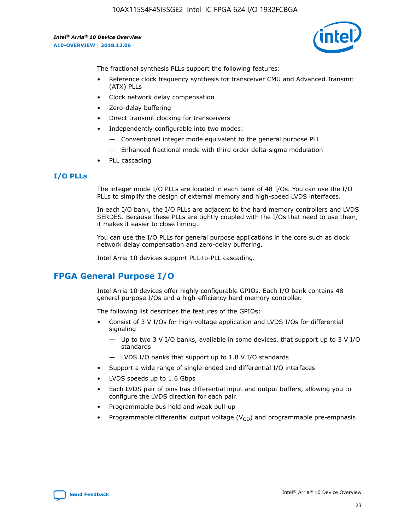

The fractional synthesis PLLs support the following features:

- Reference clock frequency synthesis for transceiver CMU and Advanced Transmit (ATX) PLLs
- Clock network delay compensation
- Zero-delay buffering
- Direct transmit clocking for transceivers
- Independently configurable into two modes:
	- Conventional integer mode equivalent to the general purpose PLL
	- Enhanced fractional mode with third order delta-sigma modulation
- PLL cascading

## **I/O PLLs**

The integer mode I/O PLLs are located in each bank of 48 I/Os. You can use the I/O PLLs to simplify the design of external memory and high-speed LVDS interfaces.

In each I/O bank, the I/O PLLs are adjacent to the hard memory controllers and LVDS SERDES. Because these PLLs are tightly coupled with the I/Os that need to use them, it makes it easier to close timing.

You can use the I/O PLLs for general purpose applications in the core such as clock network delay compensation and zero-delay buffering.

Intel Arria 10 devices support PLL-to-PLL cascading.

## **FPGA General Purpose I/O**

Intel Arria 10 devices offer highly configurable GPIOs. Each I/O bank contains 48 general purpose I/Os and a high-efficiency hard memory controller.

The following list describes the features of the GPIOs:

- Consist of 3 V I/Os for high-voltage application and LVDS I/Os for differential signaling
	- Up to two 3 V I/O banks, available in some devices, that support up to 3 V I/O standards
	- LVDS I/O banks that support up to 1.8 V I/O standards
- Support a wide range of single-ended and differential I/O interfaces
- LVDS speeds up to 1.6 Gbps
- Each LVDS pair of pins has differential input and output buffers, allowing you to configure the LVDS direction for each pair.
- Programmable bus hold and weak pull-up
- Programmable differential output voltage  $(V_{OD})$  and programmable pre-emphasis

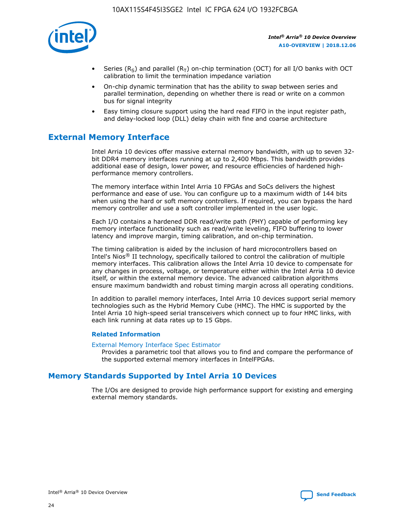

- Series (R<sub>S</sub>) and parallel (R<sub>T</sub>) on-chip termination (OCT) for all I/O banks with OCT calibration to limit the termination impedance variation
- On-chip dynamic termination that has the ability to swap between series and parallel termination, depending on whether there is read or write on a common bus for signal integrity
- Easy timing closure support using the hard read FIFO in the input register path, and delay-locked loop (DLL) delay chain with fine and coarse architecture

## **External Memory Interface**

Intel Arria 10 devices offer massive external memory bandwidth, with up to seven 32 bit DDR4 memory interfaces running at up to 2,400 Mbps. This bandwidth provides additional ease of design, lower power, and resource efficiencies of hardened highperformance memory controllers.

The memory interface within Intel Arria 10 FPGAs and SoCs delivers the highest performance and ease of use. You can configure up to a maximum width of 144 bits when using the hard or soft memory controllers. If required, you can bypass the hard memory controller and use a soft controller implemented in the user logic.

Each I/O contains a hardened DDR read/write path (PHY) capable of performing key memory interface functionality such as read/write leveling, FIFO buffering to lower latency and improve margin, timing calibration, and on-chip termination.

The timing calibration is aided by the inclusion of hard microcontrollers based on Intel's Nios® II technology, specifically tailored to control the calibration of multiple memory interfaces. This calibration allows the Intel Arria 10 device to compensate for any changes in process, voltage, or temperature either within the Intel Arria 10 device itself, or within the external memory device. The advanced calibration algorithms ensure maximum bandwidth and robust timing margin across all operating conditions.

In addition to parallel memory interfaces, Intel Arria 10 devices support serial memory technologies such as the Hybrid Memory Cube (HMC). The HMC is supported by the Intel Arria 10 high-speed serial transceivers which connect up to four HMC links, with each link running at data rates up to 15 Gbps.

#### **Related Information**

#### [External Memory Interface Spec Estimator](http://www.altera.com/technology/memory/estimator/mem-emif-index.html)

Provides a parametric tool that allows you to find and compare the performance of the supported external memory interfaces in IntelFPGAs.

## **Memory Standards Supported by Intel Arria 10 Devices**

The I/Os are designed to provide high performance support for existing and emerging external memory standards.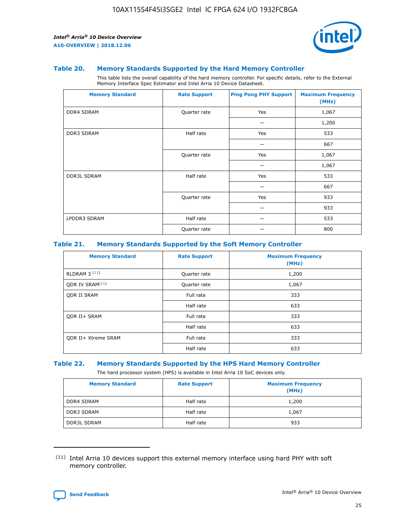

#### **Table 20. Memory Standards Supported by the Hard Memory Controller**

This table lists the overall capability of the hard memory controller. For specific details, refer to the External Memory Interface Spec Estimator and Intel Arria 10 Device Datasheet.

| <b>Memory Standard</b> | <b>Rate Support</b> | <b>Ping Pong PHY Support</b> | <b>Maximum Frequency</b><br>(MHz) |
|------------------------|---------------------|------------------------------|-----------------------------------|
| <b>DDR4 SDRAM</b>      | Quarter rate        | Yes                          | 1,067                             |
|                        |                     |                              | 1,200                             |
| <b>DDR3 SDRAM</b>      | Half rate           | Yes                          | 533                               |
|                        |                     |                              | 667                               |
|                        | Quarter rate        | Yes                          | 1,067                             |
|                        |                     |                              | 1,067                             |
| <b>DDR3L SDRAM</b>     | Half rate           | Yes                          | 533                               |
|                        |                     |                              | 667                               |
|                        | Quarter rate        | Yes                          | 933                               |
|                        |                     |                              | 933                               |
| LPDDR3 SDRAM           | Half rate           |                              | 533                               |
|                        | Quarter rate        |                              | 800                               |

#### **Table 21. Memory Standards Supported by the Soft Memory Controller**

| <b>Memory Standard</b>      | <b>Rate Support</b> | <b>Maximum Frequency</b><br>(MHz) |
|-----------------------------|---------------------|-----------------------------------|
| <b>RLDRAM 3 (11)</b>        | Quarter rate        | 1,200                             |
| ODR IV SRAM <sup>(11)</sup> | Quarter rate        | 1,067                             |
| <b>ODR II SRAM</b>          | Full rate           | 333                               |
|                             | Half rate           | 633                               |
| <b>ODR II+ SRAM</b>         | Full rate           | 333                               |
|                             | Half rate           | 633                               |
| <b>ODR II+ Xtreme SRAM</b>  | Full rate           | 333                               |
|                             | Half rate           | 633                               |

#### **Table 22. Memory Standards Supported by the HPS Hard Memory Controller**

The hard processor system (HPS) is available in Intel Arria 10 SoC devices only.

| <b>Memory Standard</b> | <b>Rate Support</b> | <b>Maximum Frequency</b><br>(MHz) |
|------------------------|---------------------|-----------------------------------|
| <b>DDR4 SDRAM</b>      | Half rate           | 1,200                             |
| <b>DDR3 SDRAM</b>      | Half rate           | 1,067                             |
| <b>DDR3L SDRAM</b>     | Half rate           | 933                               |

<sup>(11)</sup> Intel Arria 10 devices support this external memory interface using hard PHY with soft memory controller.

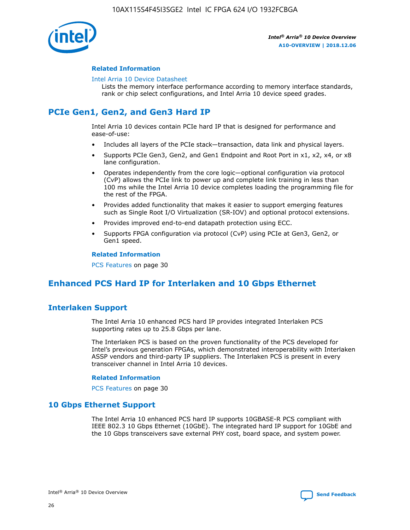

#### **Related Information**

#### [Intel Arria 10 Device Datasheet](https://www.intel.com/content/www/us/en/programmable/documentation/mcn1413182292568.html#mcn1413182153340)

Lists the memory interface performance according to memory interface standards, rank or chip select configurations, and Intel Arria 10 device speed grades.

## **PCIe Gen1, Gen2, and Gen3 Hard IP**

Intel Arria 10 devices contain PCIe hard IP that is designed for performance and ease-of-use:

- Includes all layers of the PCIe stack—transaction, data link and physical layers.
- Supports PCIe Gen3, Gen2, and Gen1 Endpoint and Root Port in x1, x2, x4, or x8 lane configuration.
- Operates independently from the core logic—optional configuration via protocol (CvP) allows the PCIe link to power up and complete link training in less than 100 ms while the Intel Arria 10 device completes loading the programming file for the rest of the FPGA.
- Provides added functionality that makes it easier to support emerging features such as Single Root I/O Virtualization (SR-IOV) and optional protocol extensions.
- Provides improved end-to-end datapath protection using ECC.
- Supports FPGA configuration via protocol (CvP) using PCIe at Gen3, Gen2, or Gen1 speed.

#### **Related Information**

PCS Features on page 30

## **Enhanced PCS Hard IP for Interlaken and 10 Gbps Ethernet**

## **Interlaken Support**

The Intel Arria 10 enhanced PCS hard IP provides integrated Interlaken PCS supporting rates up to 25.8 Gbps per lane.

The Interlaken PCS is based on the proven functionality of the PCS developed for Intel's previous generation FPGAs, which demonstrated interoperability with Interlaken ASSP vendors and third-party IP suppliers. The Interlaken PCS is present in every transceiver channel in Intel Arria 10 devices.

#### **Related Information**

PCS Features on page 30

## **10 Gbps Ethernet Support**

The Intel Arria 10 enhanced PCS hard IP supports 10GBASE-R PCS compliant with IEEE 802.3 10 Gbps Ethernet (10GbE). The integrated hard IP support for 10GbE and the 10 Gbps transceivers save external PHY cost, board space, and system power.

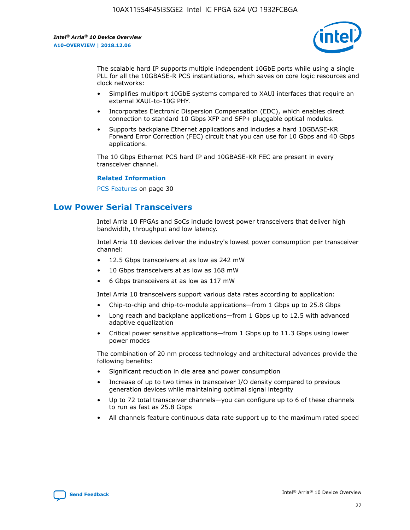

The scalable hard IP supports multiple independent 10GbE ports while using a single PLL for all the 10GBASE-R PCS instantiations, which saves on core logic resources and clock networks:

- Simplifies multiport 10GbE systems compared to XAUI interfaces that require an external XAUI-to-10G PHY.
- Incorporates Electronic Dispersion Compensation (EDC), which enables direct connection to standard 10 Gbps XFP and SFP+ pluggable optical modules.
- Supports backplane Ethernet applications and includes a hard 10GBASE-KR Forward Error Correction (FEC) circuit that you can use for 10 Gbps and 40 Gbps applications.

The 10 Gbps Ethernet PCS hard IP and 10GBASE-KR FEC are present in every transceiver channel.

#### **Related Information**

PCS Features on page 30

## **Low Power Serial Transceivers**

Intel Arria 10 FPGAs and SoCs include lowest power transceivers that deliver high bandwidth, throughput and low latency.

Intel Arria 10 devices deliver the industry's lowest power consumption per transceiver channel:

- 12.5 Gbps transceivers at as low as 242 mW
- 10 Gbps transceivers at as low as 168 mW
- 6 Gbps transceivers at as low as 117 mW

Intel Arria 10 transceivers support various data rates according to application:

- Chip-to-chip and chip-to-module applications—from 1 Gbps up to 25.8 Gbps
- Long reach and backplane applications—from 1 Gbps up to 12.5 with advanced adaptive equalization
- Critical power sensitive applications—from 1 Gbps up to 11.3 Gbps using lower power modes

The combination of 20 nm process technology and architectural advances provide the following benefits:

- Significant reduction in die area and power consumption
- Increase of up to two times in transceiver I/O density compared to previous generation devices while maintaining optimal signal integrity
- Up to 72 total transceiver channels—you can configure up to 6 of these channels to run as fast as 25.8 Gbps
- All channels feature continuous data rate support up to the maximum rated speed

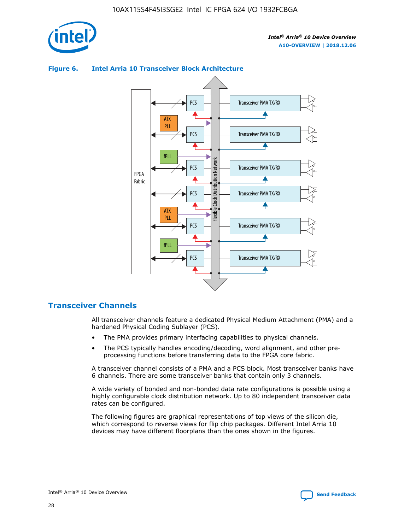

## Transceiver PMA TX/RX PCS ATX PLL Transceiver PMA TX/RX PCS fPLL Network Flexible Clock Distribution Network PCS Transceiver PMA TX/RX FPGA **Clock Distribution** Fabric PCS Transceiver PMA TX/RX ATX Flexible PLL PCS Transceiver PMA TX/RX ▲ fPLL Transceiver PMA TX/RX PCS 4

## **Figure 6. Intel Arria 10 Transceiver Block Architecture**

## **Transceiver Channels**

All transceiver channels feature a dedicated Physical Medium Attachment (PMA) and a hardened Physical Coding Sublayer (PCS).

- The PMA provides primary interfacing capabilities to physical channels.
- The PCS typically handles encoding/decoding, word alignment, and other preprocessing functions before transferring data to the FPGA core fabric.

A transceiver channel consists of a PMA and a PCS block. Most transceiver banks have 6 channels. There are some transceiver banks that contain only 3 channels.

A wide variety of bonded and non-bonded data rate configurations is possible using a highly configurable clock distribution network. Up to 80 independent transceiver data rates can be configured.

The following figures are graphical representations of top views of the silicon die, which correspond to reverse views for flip chip packages. Different Intel Arria 10 devices may have different floorplans than the ones shown in the figures.

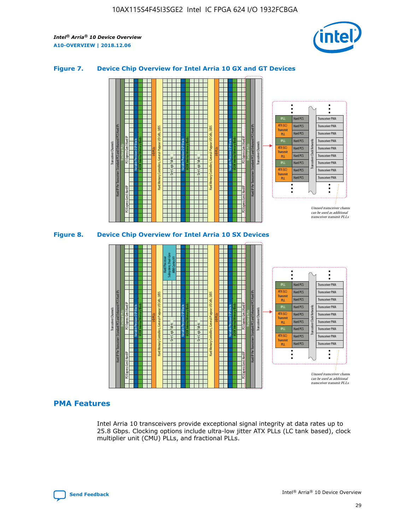

### **Figure 7. Device Chip Overview for Intel Arria 10 GX and GT Devices**





## **PMA Features**

Intel Arria 10 transceivers provide exceptional signal integrity at data rates up to 25.8 Gbps. Clocking options include ultra-low jitter ATX PLLs (LC tank based), clock multiplier unit (CMU) PLLs, and fractional PLLs.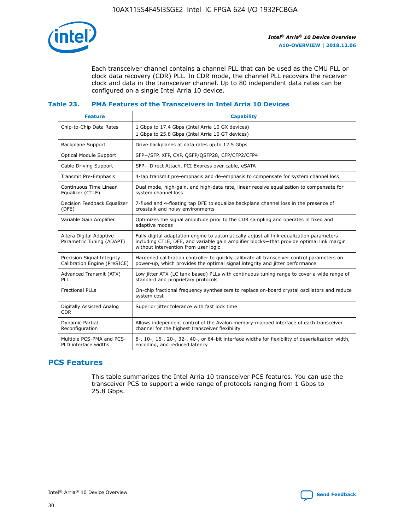

Each transceiver channel contains a channel PLL that can be used as the CMU PLL or clock data recovery (CDR) PLL. In CDR mode, the channel PLL recovers the receiver clock and data in the transceiver channel. Up to 80 independent data rates can be configured on a single Intel Arria 10 device.

### **Table 23. PMA Features of the Transceivers in Intel Arria 10 Devices**

| <b>Feature</b>                                             | <b>Capability</b>                                                                                                                                                                                                             |
|------------------------------------------------------------|-------------------------------------------------------------------------------------------------------------------------------------------------------------------------------------------------------------------------------|
| Chip-to-Chip Data Rates                                    | 1 Gbps to 17.4 Gbps (Intel Arria 10 GX devices)<br>1 Gbps to 25.8 Gbps (Intel Arria 10 GT devices)                                                                                                                            |
| <b>Backplane Support</b>                                   | Drive backplanes at data rates up to 12.5 Gbps                                                                                                                                                                                |
| <b>Optical Module Support</b>                              | SFP+/SFP, XFP, CXP, QSFP/QSFP28, CFP/CFP2/CFP4                                                                                                                                                                                |
| Cable Driving Support                                      | SFP+ Direct Attach, PCI Express over cable, eSATA                                                                                                                                                                             |
| Transmit Pre-Emphasis                                      | 4-tap transmit pre-emphasis and de-emphasis to compensate for system channel loss                                                                                                                                             |
| Continuous Time Linear<br>Equalizer (CTLE)                 | Dual mode, high-gain, and high-data rate, linear receive equalization to compensate for<br>system channel loss                                                                                                                |
| Decision Feedback Equalizer<br>(DFE)                       | 7-fixed and 4-floating tap DFE to equalize backplane channel loss in the presence of<br>crosstalk and noisy environments                                                                                                      |
| Variable Gain Amplifier                                    | Optimizes the signal amplitude prior to the CDR sampling and operates in fixed and<br>adaptive modes                                                                                                                          |
| Altera Digital Adaptive<br>Parametric Tuning (ADAPT)       | Fully digital adaptation engine to automatically adjust all link equalization parameters-<br>including CTLE, DFE, and variable gain amplifier blocks—that provide optimal link margin<br>without intervention from user logic |
| Precision Signal Integrity<br>Calibration Engine (PreSICE) | Hardened calibration controller to quickly calibrate all transceiver control parameters on<br>power-up, which provides the optimal signal integrity and jitter performance                                                    |
| Advanced Transmit (ATX)<br><b>PLL</b>                      | Low jitter ATX (LC tank based) PLLs with continuous tuning range to cover a wide range of<br>standard and proprietary protocols                                                                                               |
| <b>Fractional PLLs</b>                                     | On-chip fractional frequency synthesizers to replace on-board crystal oscillators and reduce<br>system cost                                                                                                                   |
| Digitally Assisted Analog<br><b>CDR</b>                    | Superior jitter tolerance with fast lock time                                                                                                                                                                                 |
| Dynamic Partial<br>Reconfiguration                         | Allows independent control of the Avalon memory-mapped interface of each transceiver<br>channel for the highest transceiver flexibility                                                                                       |
| Multiple PCS-PMA and PCS-<br>PLD interface widths          | 8-, 10-, 16-, 20-, 32-, 40-, or 64-bit interface widths for flexibility of deserialization width,<br>encoding, and reduced latency                                                                                            |

## **PCS Features**

This table summarizes the Intel Arria 10 transceiver PCS features. You can use the transceiver PCS to support a wide range of protocols ranging from 1 Gbps to 25.8 Gbps.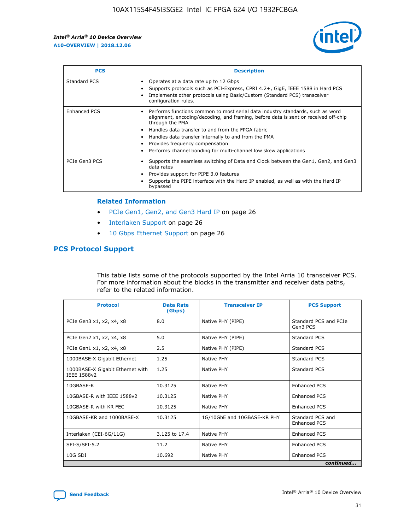

| <b>PCS</b>    | <b>Description</b>                                                                                                                                                                                                                                                                                                                                                                                             |
|---------------|----------------------------------------------------------------------------------------------------------------------------------------------------------------------------------------------------------------------------------------------------------------------------------------------------------------------------------------------------------------------------------------------------------------|
| Standard PCS  | Operates at a data rate up to 12 Gbps<br>Supports protocols such as PCI-Express, CPRI 4.2+, GigE, IEEE 1588 in Hard PCS<br>Implements other protocols using Basic/Custom (Standard PCS) transceiver<br>configuration rules.                                                                                                                                                                                    |
| Enhanced PCS  | Performs functions common to most serial data industry standards, such as word<br>alignment, encoding/decoding, and framing, before data is sent or received off-chip<br>through the PMA<br>• Handles data transfer to and from the FPGA fabric<br>Handles data transfer internally to and from the PMA<br>Provides frequency compensation<br>Performs channel bonding for multi-channel low skew applications |
| PCIe Gen3 PCS | Supports the seamless switching of Data and Clock between the Gen1, Gen2, and Gen3<br>data rates<br>Provides support for PIPE 3.0 features<br>Supports the PIPE interface with the Hard IP enabled, as well as with the Hard IP<br>bypassed                                                                                                                                                                    |

#### **Related Information**

- PCIe Gen1, Gen2, and Gen3 Hard IP on page 26
- Interlaken Support on page 26
- 10 Gbps Ethernet Support on page 26

## **PCS Protocol Support**

This table lists some of the protocols supported by the Intel Arria 10 transceiver PCS. For more information about the blocks in the transmitter and receiver data paths, refer to the related information.

| <b>Protocol</b>                                 | <b>Data Rate</b><br>(Gbps) | <b>Transceiver IP</b>       | <b>PCS Support</b>                      |
|-------------------------------------------------|----------------------------|-----------------------------|-----------------------------------------|
| PCIe Gen3 x1, x2, x4, x8                        | 8.0                        | Native PHY (PIPE)           | Standard PCS and PCIe<br>Gen3 PCS       |
| PCIe Gen2 x1, x2, x4, x8                        | 5.0                        | Native PHY (PIPE)           | <b>Standard PCS</b>                     |
| PCIe Gen1 x1, x2, x4, x8                        | 2.5                        | Native PHY (PIPE)           | Standard PCS                            |
| 1000BASE-X Gigabit Ethernet                     | 1.25                       | Native PHY                  | <b>Standard PCS</b>                     |
| 1000BASE-X Gigabit Ethernet with<br>IEEE 1588v2 | 1.25                       | Native PHY                  | Standard PCS                            |
| 10GBASE-R                                       | 10.3125                    | Native PHY                  | <b>Enhanced PCS</b>                     |
| 10GBASE-R with IEEE 1588v2                      | 10.3125                    | Native PHY                  | <b>Enhanced PCS</b>                     |
| 10GBASE-R with KR FEC                           | 10.3125                    | Native PHY                  | <b>Enhanced PCS</b>                     |
| 10GBASE-KR and 1000BASE-X                       | 10.3125                    | 1G/10GbE and 10GBASE-KR PHY | Standard PCS and<br><b>Enhanced PCS</b> |
| Interlaken (CEI-6G/11G)                         | 3.125 to 17.4              | Native PHY                  | <b>Enhanced PCS</b>                     |
| SFI-S/SFI-5.2                                   | 11.2                       | Native PHY                  | <b>Enhanced PCS</b>                     |
| $10G$ SDI                                       | 10.692                     | Native PHY                  | <b>Enhanced PCS</b>                     |
|                                                 |                            |                             | continued                               |

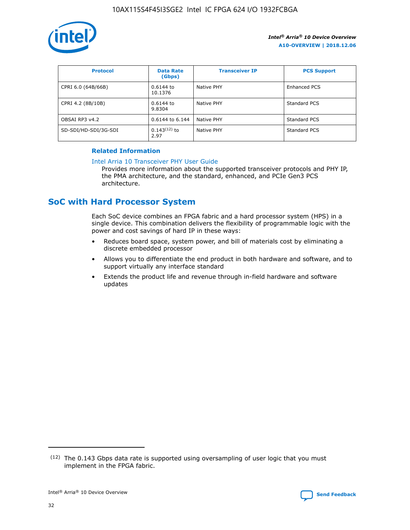

| <b>Protocol</b>      | <b>Data Rate</b><br>(Gbps) | <b>Transceiver IP</b> | <b>PCS Support</b> |
|----------------------|----------------------------|-----------------------|--------------------|
| CPRI 6.0 (64B/66B)   | 0.6144 to<br>10.1376       | Native PHY            | Enhanced PCS       |
| CPRI 4.2 (8B/10B)    | 0.6144 to<br>9.8304        | Native PHY            | Standard PCS       |
| OBSAI RP3 v4.2       | 0.6144 to 6.144            | Native PHY            | Standard PCS       |
| SD-SDI/HD-SDI/3G-SDI | $0.143(12)$ to<br>2.97     | Native PHY            | Standard PCS       |

## **Related Information**

#### [Intel Arria 10 Transceiver PHY User Guide](https://www.intel.com/content/www/us/en/programmable/documentation/nik1398707230472.html#nik1398707091164)

Provides more information about the supported transceiver protocols and PHY IP, the PMA architecture, and the standard, enhanced, and PCIe Gen3 PCS architecture.

## **SoC with Hard Processor System**

Each SoC device combines an FPGA fabric and a hard processor system (HPS) in a single device. This combination delivers the flexibility of programmable logic with the power and cost savings of hard IP in these ways:

- Reduces board space, system power, and bill of materials cost by eliminating a discrete embedded processor
- Allows you to differentiate the end product in both hardware and software, and to support virtually any interface standard
- Extends the product life and revenue through in-field hardware and software updates

 $(12)$  The 0.143 Gbps data rate is supported using oversampling of user logic that you must implement in the FPGA fabric.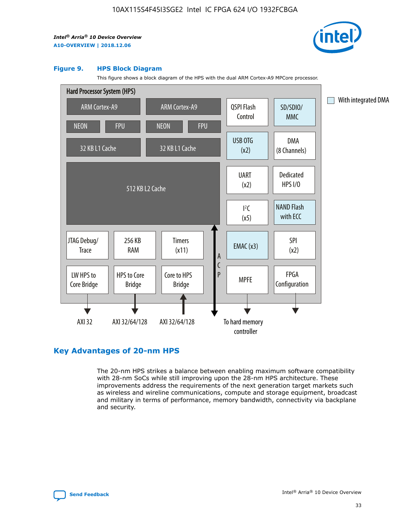

#### **Figure 9. HPS Block Diagram**

This figure shows a block diagram of the HPS with the dual ARM Cortex-A9 MPCore processor.



## **Key Advantages of 20-nm HPS**

The 20-nm HPS strikes a balance between enabling maximum software compatibility with 28-nm SoCs while still improving upon the 28-nm HPS architecture. These improvements address the requirements of the next generation target markets such as wireless and wireline communications, compute and storage equipment, broadcast and military in terms of performance, memory bandwidth, connectivity via backplane and security.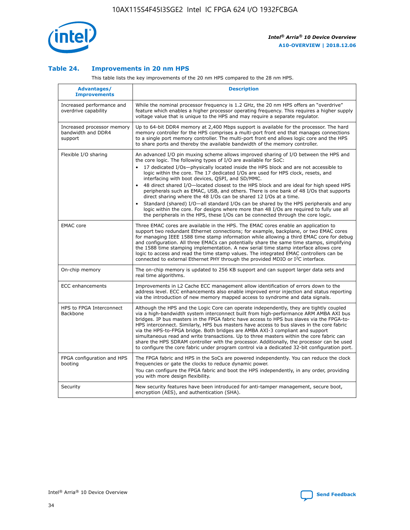

## **Table 24. Improvements in 20 nm HPS**

This table lists the key improvements of the 20 nm HPS compared to the 28 nm HPS.

| Advantages/<br><b>Improvements</b>                          | <b>Description</b>                                                                                                                                                                                                                                                                                                                                                                                                                                                                                                                                                                                                                                                                                                                                                                                                                                                                                                      |
|-------------------------------------------------------------|-------------------------------------------------------------------------------------------------------------------------------------------------------------------------------------------------------------------------------------------------------------------------------------------------------------------------------------------------------------------------------------------------------------------------------------------------------------------------------------------------------------------------------------------------------------------------------------------------------------------------------------------------------------------------------------------------------------------------------------------------------------------------------------------------------------------------------------------------------------------------------------------------------------------------|
| Increased performance and<br>overdrive capability           | While the nominal processor frequency is 1.2 GHz, the 20 nm HPS offers an "overdrive"<br>feature which enables a higher processor operating frequency. This requires a higher supply<br>voltage value that is unique to the HPS and may require a separate regulator.                                                                                                                                                                                                                                                                                                                                                                                                                                                                                                                                                                                                                                                   |
| Increased processor memory<br>bandwidth and DDR4<br>support | Up to 64-bit DDR4 memory at 2,400 Mbps support is available for the processor. The hard<br>memory controller for the HPS comprises a multi-port front end that manages connections<br>to a single port memory controller. The multi-port front end allows logic core and the HPS<br>to share ports and thereby the available bandwidth of the memory controller.                                                                                                                                                                                                                                                                                                                                                                                                                                                                                                                                                        |
| Flexible I/O sharing                                        | An advanced I/O pin muxing scheme allows improved sharing of I/O between the HPS and<br>the core logic. The following types of I/O are available for SoC:<br>17 dedicated I/Os-physically located inside the HPS block and are not accessible to<br>logic within the core. The 17 dedicated I/Os are used for HPS clock, resets, and<br>interfacing with boot devices, QSPI, and SD/MMC.<br>48 direct shared I/O-located closest to the HPS block and are ideal for high speed HPS<br>peripherals such as EMAC, USB, and others. There is one bank of 48 I/Os that supports<br>direct sharing where the 48 I/Os can be shared 12 I/Os at a time.<br>Standard (shared) I/O-all standard I/Os can be shared by the HPS peripherals and any<br>logic within the core. For designs where more than 48 I/Os are required to fully use all<br>the peripherals in the HPS, these I/Os can be connected through the core logic. |
| <b>EMAC</b> core                                            | Three EMAC cores are available in the HPS. The EMAC cores enable an application to<br>support two redundant Ethernet connections; for example, backplane, or two EMAC cores<br>for managing IEEE 1588 time stamp information while allowing a third EMAC core for debug<br>and configuration. All three EMACs can potentially share the same time stamps, simplifying<br>the 1588 time stamping implementation. A new serial time stamp interface allows core<br>logic to access and read the time stamp values. The integrated EMAC controllers can be<br>connected to external Ethernet PHY through the provided MDIO or I <sup>2</sup> C interface.                                                                                                                                                                                                                                                                  |
| On-chip memory                                              | The on-chip memory is updated to 256 KB support and can support larger data sets and<br>real time algorithms.                                                                                                                                                                                                                                                                                                                                                                                                                                                                                                                                                                                                                                                                                                                                                                                                           |
| <b>ECC</b> enhancements                                     | Improvements in L2 Cache ECC management allow identification of errors down to the<br>address level. ECC enhancements also enable improved error injection and status reporting<br>via the introduction of new memory mapped access to syndrome and data signals.                                                                                                                                                                                                                                                                                                                                                                                                                                                                                                                                                                                                                                                       |
| HPS to FPGA Interconnect<br><b>Backbone</b>                 | Although the HPS and the Logic Core can operate independently, they are tightly coupled<br>via a high-bandwidth system interconnect built from high-performance ARM AMBA AXI bus<br>bridges. IP bus masters in the FPGA fabric have access to HPS bus slaves via the FPGA-to-<br>HPS interconnect. Similarly, HPS bus masters have access to bus slaves in the core fabric<br>via the HPS-to-FPGA bridge. Both bridges are AMBA AXI-3 compliant and support<br>simultaneous read and write transactions. Up to three masters within the core fabric can<br>share the HPS SDRAM controller with the processor. Additionally, the processor can be used<br>to configure the core fabric under program control via a dedicated 32-bit configuration port.                                                                                                                                                                  |
| FPGA configuration and HPS<br>booting                       | The FPGA fabric and HPS in the SoCs are powered independently. You can reduce the clock<br>frequencies or gate the clocks to reduce dynamic power.<br>You can configure the FPGA fabric and boot the HPS independently, in any order, providing<br>you with more design flexibility.                                                                                                                                                                                                                                                                                                                                                                                                                                                                                                                                                                                                                                    |
| Security                                                    | New security features have been introduced for anti-tamper management, secure boot,<br>encryption (AES), and authentication (SHA).                                                                                                                                                                                                                                                                                                                                                                                                                                                                                                                                                                                                                                                                                                                                                                                      |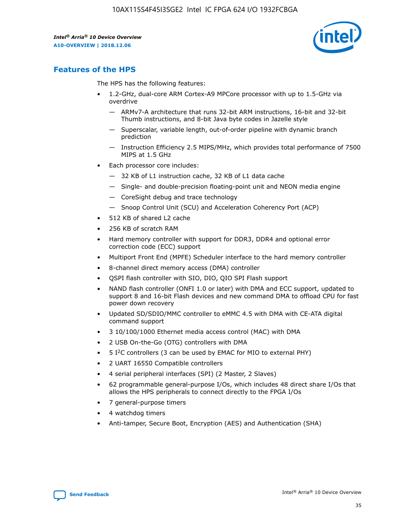

## **Features of the HPS**

The HPS has the following features:

- 1.2-GHz, dual-core ARM Cortex-A9 MPCore processor with up to 1.5-GHz via overdrive
	- ARMv7-A architecture that runs 32-bit ARM instructions, 16-bit and 32-bit Thumb instructions, and 8-bit Java byte codes in Jazelle style
	- Superscalar, variable length, out-of-order pipeline with dynamic branch prediction
	- Instruction Efficiency 2.5 MIPS/MHz, which provides total performance of 7500 MIPS at 1.5 GHz
- Each processor core includes:
	- 32 KB of L1 instruction cache, 32 KB of L1 data cache
	- Single- and double-precision floating-point unit and NEON media engine
	- CoreSight debug and trace technology
	- Snoop Control Unit (SCU) and Acceleration Coherency Port (ACP)
- 512 KB of shared L2 cache
- 256 KB of scratch RAM
- Hard memory controller with support for DDR3, DDR4 and optional error correction code (ECC) support
- Multiport Front End (MPFE) Scheduler interface to the hard memory controller
- 8-channel direct memory access (DMA) controller
- QSPI flash controller with SIO, DIO, QIO SPI Flash support
- NAND flash controller (ONFI 1.0 or later) with DMA and ECC support, updated to support 8 and 16-bit Flash devices and new command DMA to offload CPU for fast power down recovery
- Updated SD/SDIO/MMC controller to eMMC 4.5 with DMA with CE-ATA digital command support
- 3 10/100/1000 Ethernet media access control (MAC) with DMA
- 2 USB On-the-Go (OTG) controllers with DMA
- $\bullet$  5 I<sup>2</sup>C controllers (3 can be used by EMAC for MIO to external PHY)
- 2 UART 16550 Compatible controllers
- 4 serial peripheral interfaces (SPI) (2 Master, 2 Slaves)
- 62 programmable general-purpose I/Os, which includes 48 direct share I/Os that allows the HPS peripherals to connect directly to the FPGA I/Os
- 7 general-purpose timers
- 4 watchdog timers
- Anti-tamper, Secure Boot, Encryption (AES) and Authentication (SHA)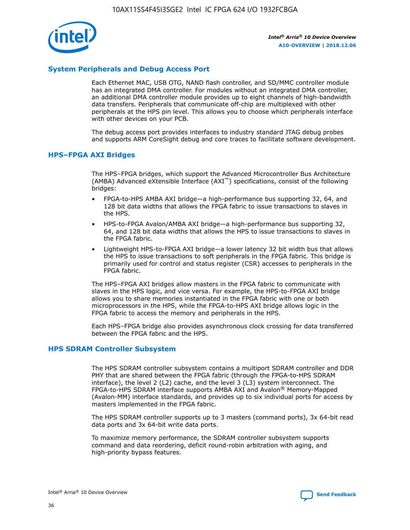

## **System Peripherals and Debug Access Port**

Each Ethernet MAC, USB OTG, NAND flash controller, and SD/MMC controller module has an integrated DMA controller. For modules without an integrated DMA controller, an additional DMA controller module provides up to eight channels of high-bandwidth data transfers. Peripherals that communicate off-chip are multiplexed with other peripherals at the HPS pin level. This allows you to choose which peripherals interface with other devices on your PCB.

The debug access port provides interfaces to industry standard JTAG debug probes and supports ARM CoreSight debug and core traces to facilitate software development.

## **HPS–FPGA AXI Bridges**

The HPS–FPGA bridges, which support the Advanced Microcontroller Bus Architecture (AMBA) Advanced eXtensible Interface (AXI™) specifications, consist of the following bridges:

- FPGA-to-HPS AMBA AXI bridge—a high-performance bus supporting 32, 64, and 128 bit data widths that allows the FPGA fabric to issue transactions to slaves in the HPS.
- HPS-to-FPGA Avalon/AMBA AXI bridge—a high-performance bus supporting 32, 64, and 128 bit data widths that allows the HPS to issue transactions to slaves in the FPGA fabric.
- Lightweight HPS-to-FPGA AXI bridge—a lower latency 32 bit width bus that allows the HPS to issue transactions to soft peripherals in the FPGA fabric. This bridge is primarily used for control and status register (CSR) accesses to peripherals in the FPGA fabric.

The HPS–FPGA AXI bridges allow masters in the FPGA fabric to communicate with slaves in the HPS logic, and vice versa. For example, the HPS-to-FPGA AXI bridge allows you to share memories instantiated in the FPGA fabric with one or both microprocessors in the HPS, while the FPGA-to-HPS AXI bridge allows logic in the FPGA fabric to access the memory and peripherals in the HPS.

Each HPS–FPGA bridge also provides asynchronous clock crossing for data transferred between the FPGA fabric and the HPS.

#### **HPS SDRAM Controller Subsystem**

The HPS SDRAM controller subsystem contains a multiport SDRAM controller and DDR PHY that are shared between the FPGA fabric (through the FPGA-to-HPS SDRAM interface), the level 2 (L2) cache, and the level 3 (L3) system interconnect. The FPGA-to-HPS SDRAM interface supports AMBA AXI and Avalon® Memory-Mapped (Avalon-MM) interface standards, and provides up to six individual ports for access by masters implemented in the FPGA fabric.

The HPS SDRAM controller supports up to 3 masters (command ports), 3x 64-bit read data ports and 3x 64-bit write data ports.

To maximize memory performance, the SDRAM controller subsystem supports command and data reordering, deficit round-robin arbitration with aging, and high-priority bypass features.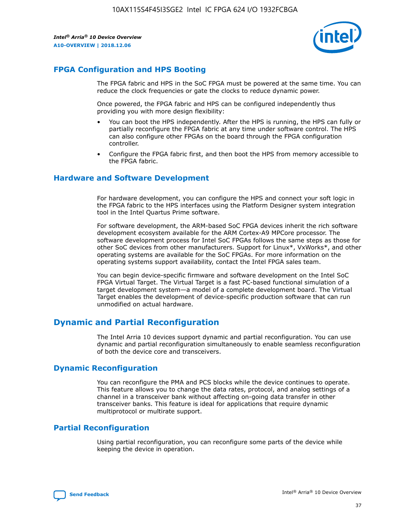

## **FPGA Configuration and HPS Booting**

The FPGA fabric and HPS in the SoC FPGA must be powered at the same time. You can reduce the clock frequencies or gate the clocks to reduce dynamic power.

Once powered, the FPGA fabric and HPS can be configured independently thus providing you with more design flexibility:

- You can boot the HPS independently. After the HPS is running, the HPS can fully or partially reconfigure the FPGA fabric at any time under software control. The HPS can also configure other FPGAs on the board through the FPGA configuration controller.
- Configure the FPGA fabric first, and then boot the HPS from memory accessible to the FPGA fabric.

## **Hardware and Software Development**

For hardware development, you can configure the HPS and connect your soft logic in the FPGA fabric to the HPS interfaces using the Platform Designer system integration tool in the Intel Quartus Prime software.

For software development, the ARM-based SoC FPGA devices inherit the rich software development ecosystem available for the ARM Cortex-A9 MPCore processor. The software development process for Intel SoC FPGAs follows the same steps as those for other SoC devices from other manufacturers. Support for Linux\*, VxWorks\*, and other operating systems are available for the SoC FPGAs. For more information on the operating systems support availability, contact the Intel FPGA sales team.

You can begin device-specific firmware and software development on the Intel SoC FPGA Virtual Target. The Virtual Target is a fast PC-based functional simulation of a target development system—a model of a complete development board. The Virtual Target enables the development of device-specific production software that can run unmodified on actual hardware.

## **Dynamic and Partial Reconfiguration**

The Intel Arria 10 devices support dynamic and partial reconfiguration. You can use dynamic and partial reconfiguration simultaneously to enable seamless reconfiguration of both the device core and transceivers.

## **Dynamic Reconfiguration**

You can reconfigure the PMA and PCS blocks while the device continues to operate. This feature allows you to change the data rates, protocol, and analog settings of a channel in a transceiver bank without affecting on-going data transfer in other transceiver banks. This feature is ideal for applications that require dynamic multiprotocol or multirate support.

## **Partial Reconfiguration**

Using partial reconfiguration, you can reconfigure some parts of the device while keeping the device in operation.

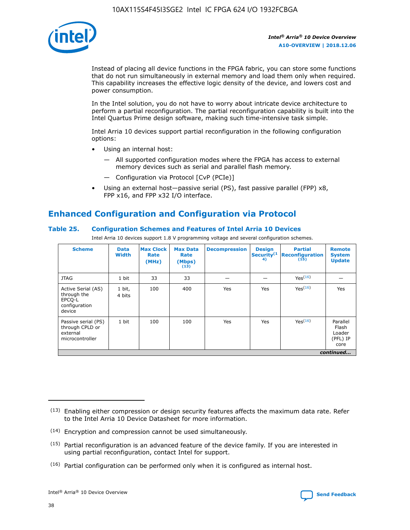

Instead of placing all device functions in the FPGA fabric, you can store some functions that do not run simultaneously in external memory and load them only when required. This capability increases the effective logic density of the device, and lowers cost and power consumption.

In the Intel solution, you do not have to worry about intricate device architecture to perform a partial reconfiguration. The partial reconfiguration capability is built into the Intel Quartus Prime design software, making such time-intensive task simple.

Intel Arria 10 devices support partial reconfiguration in the following configuration options:

- Using an internal host:
	- All supported configuration modes where the FPGA has access to external memory devices such as serial and parallel flash memory.
	- Configuration via Protocol [CvP (PCIe)]
- Using an external host—passive serial (PS), fast passive parallel (FPP) x8, FPP x16, and FPP x32 I/O interface.

# **Enhanced Configuration and Configuration via Protocol**

## **Table 25. Configuration Schemes and Features of Intel Arria 10 Devices**

Intel Arria 10 devices support 1.8 V programming voltage and several configuration schemes.

| <b>Scheme</b>                                                          | <b>Data</b><br><b>Width</b> | <b>Max Clock</b><br>Rate<br>(MHz) | <b>Max Data</b><br>Rate<br>(Mbps)<br>(13) | <b>Decompression</b> | <b>Design</b><br>Security <sup>(1</sup><br>4) | <b>Partial</b><br><b>Reconfiguration</b><br>(15) | <b>Remote</b><br><b>System</b><br><b>Update</b> |
|------------------------------------------------------------------------|-----------------------------|-----------------------------------|-------------------------------------------|----------------------|-----------------------------------------------|--------------------------------------------------|-------------------------------------------------|
| <b>JTAG</b>                                                            | 1 bit                       | 33                                | 33                                        |                      |                                               | Yes(16)                                          |                                                 |
| Active Serial (AS)<br>through the<br>EPCO-L<br>configuration<br>device | 1 bit,<br>4 bits            | 100                               | 400                                       | Yes                  | Yes                                           | $Y_{PS}(16)$                                     | Yes                                             |
| Passive serial (PS)<br>through CPLD or<br>external<br>microcontroller  | 1 bit                       | 100                               | 100                                       | Yes                  | Yes                                           | Yes(16)                                          | Parallel<br>Flash<br>Loader<br>(PFL) IP<br>core |
|                                                                        |                             |                                   |                                           |                      |                                               |                                                  | continued                                       |

<sup>(13)</sup> Enabling either compression or design security features affects the maximum data rate. Refer to the Intel Arria 10 Device Datasheet for more information.

<sup>(14)</sup> Encryption and compression cannot be used simultaneously.

 $<sup>(15)</sup>$  Partial reconfiguration is an advanced feature of the device family. If you are interested in</sup> using partial reconfiguration, contact Intel for support.

 $(16)$  Partial configuration can be performed only when it is configured as internal host.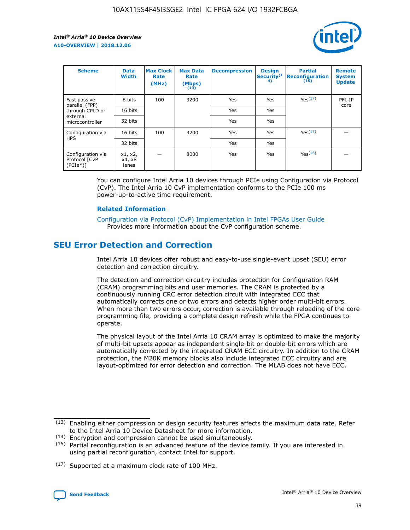

| <b>Scheme</b>                                   | <b>Data</b><br><b>Width</b> | <b>Max Clock</b><br>Rate<br>(MHz) | <b>Max Data</b><br>Rate<br>(Mbps)<br>(13) | <b>Decompression</b> | <b>Design</b><br>Security <sup>(1</sup><br>4) | <b>Partial</b><br><b>Reconfiguration</b><br>(15) | <b>Remote</b><br><b>System</b><br><b>Update</b> |
|-------------------------------------------------|-----------------------------|-----------------------------------|-------------------------------------------|----------------------|-----------------------------------------------|--------------------------------------------------|-------------------------------------------------|
| Fast passive                                    | 8 bits                      | 100                               | 3200                                      | Yes                  | Yes                                           | Yes(17)                                          | PFL IP                                          |
| parallel (FPP)<br>through CPLD or               | 16 bits                     |                                   |                                           | Yes                  | Yes                                           |                                                  | core                                            |
| external<br>microcontroller                     | 32 bits                     |                                   |                                           | Yes                  | Yes                                           |                                                  |                                                 |
| Configuration via                               | 16 bits                     | 100                               | 3200                                      | Yes                  | Yes                                           | Yes <sup>(17)</sup>                              |                                                 |
| <b>HPS</b>                                      | 32 bits                     |                                   |                                           | Yes                  | Yes                                           |                                                  |                                                 |
| Configuration via<br>Protocol [CvP<br>$(PCIe*)$ | x1, x2,<br>x4, x8<br>lanes  |                                   | 8000                                      | Yes                  | Yes                                           | Yes(16)                                          |                                                 |

You can configure Intel Arria 10 devices through PCIe using Configuration via Protocol (CvP). The Intel Arria 10 CvP implementation conforms to the PCIe 100 ms power-up-to-active time requirement.

#### **Related Information**

[Configuration via Protocol \(CvP\) Implementation in Intel FPGAs User Guide](https://www.intel.com/content/www/us/en/programmable/documentation/dsu1441819344145.html#dsu1442269728522) Provides more information about the CvP configuration scheme.

## **SEU Error Detection and Correction**

Intel Arria 10 devices offer robust and easy-to-use single-event upset (SEU) error detection and correction circuitry.

The detection and correction circuitry includes protection for Configuration RAM (CRAM) programming bits and user memories. The CRAM is protected by a continuously running CRC error detection circuit with integrated ECC that automatically corrects one or two errors and detects higher order multi-bit errors. When more than two errors occur, correction is available through reloading of the core programming file, providing a complete design refresh while the FPGA continues to operate.

The physical layout of the Intel Arria 10 CRAM array is optimized to make the majority of multi-bit upsets appear as independent single-bit or double-bit errors which are automatically corrected by the integrated CRAM ECC circuitry. In addition to the CRAM protection, the M20K memory blocks also include integrated ECC circuitry and are layout-optimized for error detection and correction. The MLAB does not have ECC.

(14) Encryption and compression cannot be used simultaneously.

<sup>(17)</sup> Supported at a maximum clock rate of 100 MHz.



 $(13)$  Enabling either compression or design security features affects the maximum data rate. Refer to the Intel Arria 10 Device Datasheet for more information.

 $(15)$  Partial reconfiguration is an advanced feature of the device family. If you are interested in using partial reconfiguration, contact Intel for support.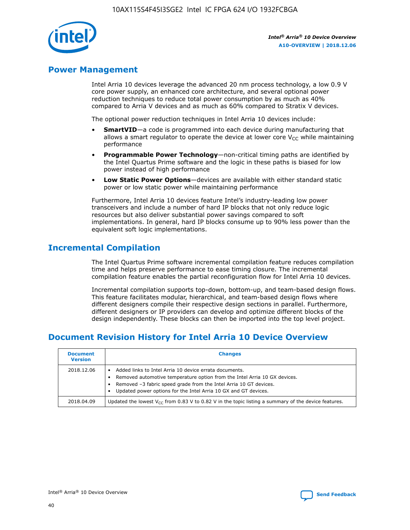

## **Power Management**

Intel Arria 10 devices leverage the advanced 20 nm process technology, a low 0.9 V core power supply, an enhanced core architecture, and several optional power reduction techniques to reduce total power consumption by as much as 40% compared to Arria V devices and as much as 60% compared to Stratix V devices.

The optional power reduction techniques in Intel Arria 10 devices include:

- **SmartVID**—a code is programmed into each device during manufacturing that allows a smart regulator to operate the device at lower core  $V_{CC}$  while maintaining performance
- **Programmable Power Technology**—non-critical timing paths are identified by the Intel Quartus Prime software and the logic in these paths is biased for low power instead of high performance
- **Low Static Power Options**—devices are available with either standard static power or low static power while maintaining performance

Furthermore, Intel Arria 10 devices feature Intel's industry-leading low power transceivers and include a number of hard IP blocks that not only reduce logic resources but also deliver substantial power savings compared to soft implementations. In general, hard IP blocks consume up to 90% less power than the equivalent soft logic implementations.

## **Incremental Compilation**

The Intel Quartus Prime software incremental compilation feature reduces compilation time and helps preserve performance to ease timing closure. The incremental compilation feature enables the partial reconfiguration flow for Intel Arria 10 devices.

Incremental compilation supports top-down, bottom-up, and team-based design flows. This feature facilitates modular, hierarchical, and team-based design flows where different designers compile their respective design sections in parallel. Furthermore, different designers or IP providers can develop and optimize different blocks of the design independently. These blocks can then be imported into the top level project.

## **Document Revision History for Intel Arria 10 Device Overview**

| <b>Document</b><br><b>Version</b> | <b>Changes</b>                                                                                                                                                                                                                                                              |
|-----------------------------------|-----------------------------------------------------------------------------------------------------------------------------------------------------------------------------------------------------------------------------------------------------------------------------|
| 2018.12.06                        | Added links to Intel Arria 10 device errata documents.<br>Removed automotive temperature option from the Intel Arria 10 GX devices.<br>Removed -3 fabric speed grade from the Intel Arria 10 GT devices.<br>Updated power options for the Intel Arria 10 GX and GT devices. |
| 2018.04.09                        | Updated the lowest $V_{CC}$ from 0.83 V to 0.82 V in the topic listing a summary of the device features.                                                                                                                                                                    |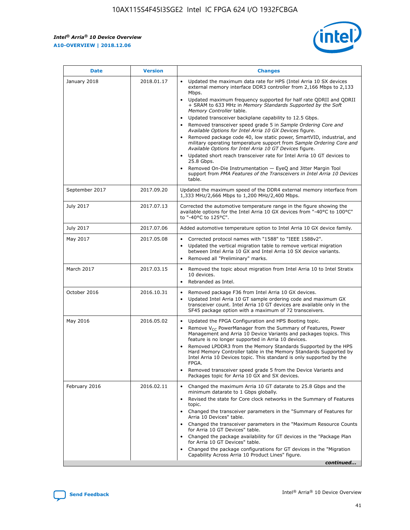

| <b>Date</b>    | <b>Version</b> | <b>Changes</b>                                                                                                                                                                                                                                                                                                                                                                                                                                                                                                                                                                                                                                                                                                                                                                                                                                                                                                                                               |
|----------------|----------------|--------------------------------------------------------------------------------------------------------------------------------------------------------------------------------------------------------------------------------------------------------------------------------------------------------------------------------------------------------------------------------------------------------------------------------------------------------------------------------------------------------------------------------------------------------------------------------------------------------------------------------------------------------------------------------------------------------------------------------------------------------------------------------------------------------------------------------------------------------------------------------------------------------------------------------------------------------------|
| January 2018   | 2018.01.17     | Updated the maximum data rate for HPS (Intel Arria 10 SX devices<br>external memory interface DDR3 controller from 2,166 Mbps to 2,133<br>Mbps.<br>Updated maximum frequency supported for half rate QDRII and QDRII<br>+ SRAM to 633 MHz in Memory Standards Supported by the Soft<br>Memory Controller table.<br>Updated transceiver backplane capability to 12.5 Gbps.<br>Removed transceiver speed grade 5 in Sample Ordering Core and<br>Available Options for Intel Arria 10 GX Devices figure.<br>Removed package code 40, low static power, SmartVID, industrial, and<br>military operating temperature support from Sample Ordering Core and<br>Available Options for Intel Arria 10 GT Devices figure.<br>Updated short reach transceiver rate for Intel Arria 10 GT devices to<br>25.8 Gbps.<br>Removed On-Die Instrumentation - EyeQ and Jitter Margin Tool<br>support from PMA Features of the Transceivers in Intel Arria 10 Devices<br>table. |
| September 2017 | 2017.09.20     | Updated the maximum speed of the DDR4 external memory interface from<br>1,333 MHz/2,666 Mbps to 1,200 MHz/2,400 Mbps.                                                                                                                                                                                                                                                                                                                                                                                                                                                                                                                                                                                                                                                                                                                                                                                                                                        |
| July 2017      | 2017.07.13     | Corrected the automotive temperature range in the figure showing the<br>available options for the Intel Arria 10 GX devices from "-40°C to 100°C"<br>to "-40°C to 125°C".                                                                                                                                                                                                                                                                                                                                                                                                                                                                                                                                                                                                                                                                                                                                                                                    |
| July 2017      | 2017.07.06     | Added automotive temperature option to Intel Arria 10 GX device family.                                                                                                                                                                                                                                                                                                                                                                                                                                                                                                                                                                                                                                                                                                                                                                                                                                                                                      |
| May 2017       | 2017.05.08     | Corrected protocol names with "1588" to "IEEE 1588v2".<br>$\bullet$<br>Updated the vertical migration table to remove vertical migration<br>$\bullet$<br>between Intel Arria 10 GX and Intel Arria 10 SX device variants.<br>Removed all "Preliminary" marks.<br>$\bullet$                                                                                                                                                                                                                                                                                                                                                                                                                                                                                                                                                                                                                                                                                   |
| March 2017     | 2017.03.15     | Removed the topic about migration from Intel Arria 10 to Intel Stratix<br>$\bullet$<br>10 devices.<br>Rebranded as Intel.<br>$\bullet$                                                                                                                                                                                                                                                                                                                                                                                                                                                                                                                                                                                                                                                                                                                                                                                                                       |
| October 2016   | 2016.10.31     | Removed package F36 from Intel Arria 10 GX devices.<br>Updated Intel Arria 10 GT sample ordering code and maximum GX<br>$\bullet$<br>transceiver count. Intel Arria 10 GT devices are available only in the<br>SF45 package option with a maximum of 72 transceivers.                                                                                                                                                                                                                                                                                                                                                                                                                                                                                                                                                                                                                                                                                        |
| May 2016       | 2016.05.02     | Updated the FPGA Configuration and HPS Booting topic.<br>$\bullet$<br>Remove V <sub>CC</sub> PowerManager from the Summary of Features, Power<br>Management and Arria 10 Device Variants and packages topics. This<br>feature is no longer supported in Arria 10 devices.<br>Removed LPDDR3 from the Memory Standards Supported by the HPS<br>Hard Memory Controller table in the Memory Standards Supported by<br>Intel Arria 10 Devices topic. This standard is only supported by the<br><b>FPGA</b><br>Removed transceiver speed grade 5 from the Device Variants and<br>Packages topic for Arria 10 GX and SX devices.                                                                                                                                                                                                                                                                                                                                   |
| February 2016  | 2016.02.11     | Changed the maximum Arria 10 GT datarate to 25.8 Gbps and the<br>$\bullet$<br>minimum datarate to 1 Gbps globally.<br>Revised the state for Core clock networks in the Summary of Features<br>$\bullet$<br>topic.<br>Changed the transceiver parameters in the "Summary of Features for<br>$\bullet$<br>Arria 10 Devices" table.<br>Changed the transceiver parameters in the "Maximum Resource Counts<br>for Arria 10 GT Devices" table.<br>Changed the package availability for GT devices in the "Package Plan<br>for Arria 10 GT Devices" table.<br>Changed the package configurations for GT devices in the "Migration"<br>Capability Across Arria 10 Product Lines" figure.<br>continued                                                                                                                                                                                                                                                               |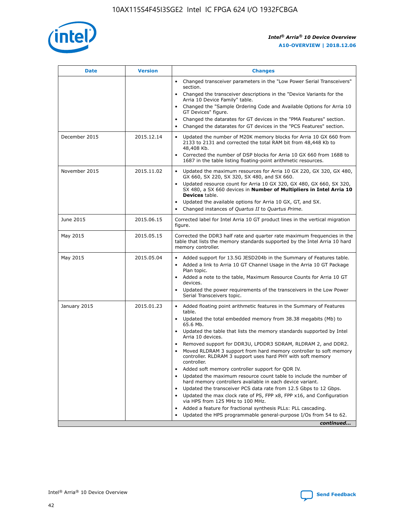

| <b>Date</b>   | <b>Version</b> | <b>Changes</b>                                                                                                                                                               |
|---------------|----------------|------------------------------------------------------------------------------------------------------------------------------------------------------------------------------|
|               |                | • Changed transceiver parameters in the "Low Power Serial Transceivers"<br>section.                                                                                          |
|               |                | • Changed the transceiver descriptions in the "Device Variants for the<br>Arria 10 Device Family" table.                                                                     |
|               |                | Changed the "Sample Ordering Code and Available Options for Arria 10<br>$\bullet$<br>GT Devices" figure.                                                                     |
|               |                | Changed the datarates for GT devices in the "PMA Features" section.                                                                                                          |
|               |                | Changed the datarates for GT devices in the "PCS Features" section.<br>$\bullet$                                                                                             |
| December 2015 | 2015.12.14     | Updated the number of M20K memory blocks for Arria 10 GX 660 from<br>2133 to 2131 and corrected the total RAM bit from 48,448 Kb to<br>48,408 Kb.                            |
|               |                | Corrected the number of DSP blocks for Arria 10 GX 660 from 1688 to<br>1687 in the table listing floating-point arithmetic resources.                                        |
| November 2015 | 2015.11.02     | Updated the maximum resources for Arria 10 GX 220, GX 320, GX 480,<br>$\bullet$<br>GX 660, SX 220, SX 320, SX 480, and SX 660.                                               |
|               |                | • Updated resource count for Arria 10 GX 320, GX 480, GX 660, SX 320,<br>SX 480, a SX 660 devices in Number of Multipliers in Intel Arria 10<br><b>Devices</b> table.        |
|               |                | Updated the available options for Arria 10 GX, GT, and SX.                                                                                                                   |
|               |                | Changed instances of Quartus II to Quartus Prime.<br>$\bullet$                                                                                                               |
| June 2015     | 2015.06.15     | Corrected label for Intel Arria 10 GT product lines in the vertical migration<br>figure.                                                                                     |
| May 2015      | 2015.05.15     | Corrected the DDR3 half rate and quarter rate maximum frequencies in the<br>table that lists the memory standards supported by the Intel Arria 10 hard<br>memory controller. |
| May 2015      | 2015.05.04     | • Added support for 13.5G JESD204b in the Summary of Features table.                                                                                                         |
|               |                | • Added a link to Arria 10 GT Channel Usage in the Arria 10 GT Package<br>Plan topic.                                                                                        |
|               |                | • Added a note to the table, Maximum Resource Counts for Arria 10 GT<br>devices.                                                                                             |
|               |                | • Updated the power requirements of the transceivers in the Low Power<br>Serial Transceivers topic.                                                                          |
| January 2015  | 2015.01.23     | • Added floating point arithmetic features in the Summary of Features<br>table.                                                                                              |
|               |                | • Updated the total embedded memory from 38.38 megabits (Mb) to<br>65.6 Mb.                                                                                                  |
|               |                | • Updated the table that lists the memory standards supported by Intel<br>Arria 10 devices.                                                                                  |
|               |                | Removed support for DDR3U, LPDDR3 SDRAM, RLDRAM 2, and DDR2.                                                                                                                 |
|               |                | Moved RLDRAM 3 support from hard memory controller to soft memory<br>controller. RLDRAM 3 support uses hard PHY with soft memory<br>controller.                              |
|               |                | Added soft memory controller support for QDR IV.<br>٠                                                                                                                        |
|               |                | Updated the maximum resource count table to include the number of<br>hard memory controllers available in each device variant.                                               |
|               |                | Updated the transceiver PCS data rate from 12.5 Gbps to 12 Gbps.<br>$\bullet$                                                                                                |
|               |                | Updated the max clock rate of PS, FPP x8, FPP x16, and Configuration<br>via HPS from 125 MHz to 100 MHz.                                                                     |
|               |                | Added a feature for fractional synthesis PLLs: PLL cascading.                                                                                                                |
|               |                | Updated the HPS programmable general-purpose I/Os from 54 to 62.<br>$\bullet$                                                                                                |
|               |                | continued                                                                                                                                                                    |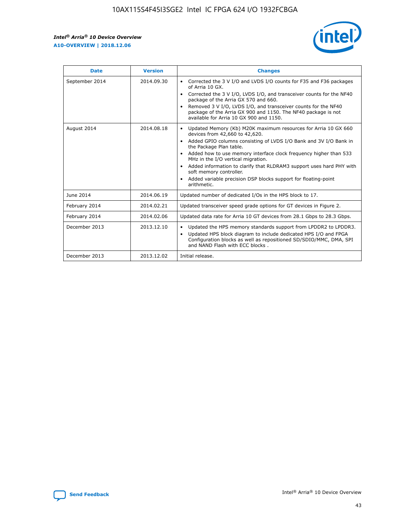r



| <b>Date</b>    | <b>Version</b> | <b>Changes</b>                                                                                                                                                                                                                                                                                                                                                                                                                                                                                                                                      |
|----------------|----------------|-----------------------------------------------------------------------------------------------------------------------------------------------------------------------------------------------------------------------------------------------------------------------------------------------------------------------------------------------------------------------------------------------------------------------------------------------------------------------------------------------------------------------------------------------------|
| September 2014 | 2014.09.30     | Corrected the 3 V I/O and LVDS I/O counts for F35 and F36 packages<br>$\bullet$<br>of Arria 10 GX.<br>Corrected the 3 V I/O, LVDS I/O, and transceiver counts for the NF40<br>$\bullet$<br>package of the Arria GX 570 and 660.<br>Removed 3 V I/O, LVDS I/O, and transceiver counts for the NF40<br>$\bullet$<br>package of the Arria GX 900 and 1150. The NF40 package is not<br>available for Arria 10 GX 900 and 1150.                                                                                                                          |
| August 2014    | 2014.08.18     | Updated Memory (Kb) M20K maximum resources for Arria 10 GX 660<br>devices from 42,660 to 42,620.<br>Added GPIO columns consisting of LVDS I/O Bank and 3V I/O Bank in<br>$\bullet$<br>the Package Plan table.<br>Added how to use memory interface clock frequency higher than 533<br>$\bullet$<br>MHz in the I/O vertical migration.<br>Added information to clarify that RLDRAM3 support uses hard PHY with<br>$\bullet$<br>soft memory controller.<br>Added variable precision DSP blocks support for floating-point<br>$\bullet$<br>arithmetic. |
| June 2014      | 2014.06.19     | Updated number of dedicated I/Os in the HPS block to 17.                                                                                                                                                                                                                                                                                                                                                                                                                                                                                            |
| February 2014  | 2014.02.21     | Updated transceiver speed grade options for GT devices in Figure 2.                                                                                                                                                                                                                                                                                                                                                                                                                                                                                 |
| February 2014  | 2014.02.06     | Updated data rate for Arria 10 GT devices from 28.1 Gbps to 28.3 Gbps.                                                                                                                                                                                                                                                                                                                                                                                                                                                                              |
| December 2013  | 2013.12.10     | Updated the HPS memory standards support from LPDDR2 to LPDDR3.<br>Updated HPS block diagram to include dedicated HPS I/O and FPGA<br>$\bullet$<br>Configuration blocks as well as repositioned SD/SDIO/MMC, DMA, SPI<br>and NAND Flash with ECC blocks.                                                                                                                                                                                                                                                                                            |
| December 2013  | 2013.12.02     | Initial release.                                                                                                                                                                                                                                                                                                                                                                                                                                                                                                                                    |